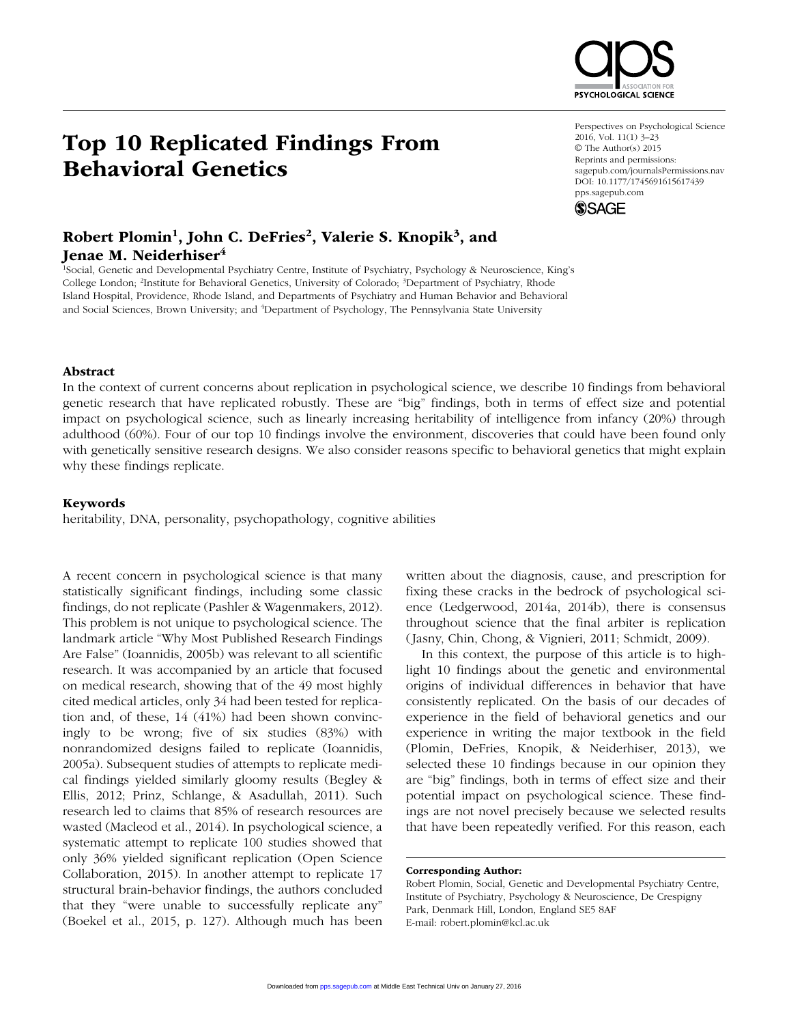# Top 10 Replicated Findings From Behavioral Genetics

# Robert Plomin<sup>1</sup>, John C. DeFries<sup>2</sup>, Valerie S. Knopik<sup>3</sup>, and Jenae M. Neiderhiser<sup>4</sup>

1 Social, Genetic and Developmental Psychiatry Centre, Institute of Psychiatry, Psychology & Neuroscience, King's College London; <sup>2</sup>Institute for Behavioral Genetics, University of Colorado; <sup>3</sup>Department of Psychiatry, Rhode Island Hospital, Providence, Rhode Island, and Departments of Psychiatry and Human Behavior and Behavioral and Social Sciences, Brown University; and <sup>4</sup>Department of Psychology, The Pennsylvania State University

Perspectives on Psychological Science 2016, Vol. 11(1) 3–23 © The Author(s) 2015 Reprints and permissions: sagepub.com/journalsPermissions.nav DOI: 10.1177/1745691615617439 pps.sagepub.com

**SYCHOLOGICAL SCIENC** 



#### Abstract

In the context of current concerns about replication in psychological science, we describe 10 findings from behavioral genetic research that have replicated robustly. These are "big" findings, both in terms of effect size and potential impact on psychological science, such as linearly increasing heritability of intelligence from infancy (20%) through adulthood (60%). Four of our top 10 findings involve the environment, discoveries that could have been found only with genetically sensitive research designs. We also consider reasons specific to behavioral genetics that might explain why these findings replicate.

#### Keywords

heritability, DNA, personality, psychopathology, cognitive abilities

A recent concern in psychological science is that many statistically significant findings, including some classic findings, do not replicate (Pashler & Wagenmakers, 2012). This problem is not unique to psychological science. The landmark article "Why Most Published Research Findings Are False" (Ioannidis, 2005b) was relevant to all scientific research. It was accompanied by an article that focused on medical research, showing that of the 49 most highly cited medical articles, only 34 had been tested for replication and, of these, 14 (41%) had been shown convincingly to be wrong; five of six studies (83%) with nonrandomized designs failed to replicate (Ioannidis, 2005a). Subsequent studies of attempts to replicate medical findings yielded similarly gloomy results (Begley & Ellis, 2012; Prinz, Schlange, & Asadullah, 2011). Such research led to claims that 85% of research resources are wasted (Macleod et al., 2014). In psychological science, a systematic attempt to replicate 100 studies showed that only 36% yielded significant replication (Open Science Collaboration, 2015). In another attempt to replicate 17 structural brain-behavior findings, the authors concluded that they "were unable to successfully replicate any" (Boekel et al., 2015, p. 127). Although much has been

written about the diagnosis, cause, and prescription for fixing these cracks in the bedrock of psychological science (Ledgerwood, 2014a, 2014b), there is consensus throughout science that the final arbiter is replication (Jasny, Chin, Chong, & Vignieri, 2011; Schmidt, 2009).

In this context, the purpose of this article is to highlight 10 findings about the genetic and environmental origins of individual differences in behavior that have consistently replicated. On the basis of our decades of experience in the field of behavioral genetics and our experience in writing the major textbook in the field (Plomin, DeFries, Knopik, & Neiderhiser, 2013), we selected these 10 findings because in our opinion they are "big" findings, both in terms of effect size and their potential impact on psychological science. These findings are not novel precisely because we selected results that have been repeatedly verified. For this reason, each

#### Corresponding Author:

Robert Plomin, Social, Genetic and Developmental Psychiatry Centre, Institute of Psychiatry, Psychology & Neuroscience, De Crespigny Park, Denmark Hill, London, England SE5 8AF E-mail: robert.plomin@kcl.ac.uk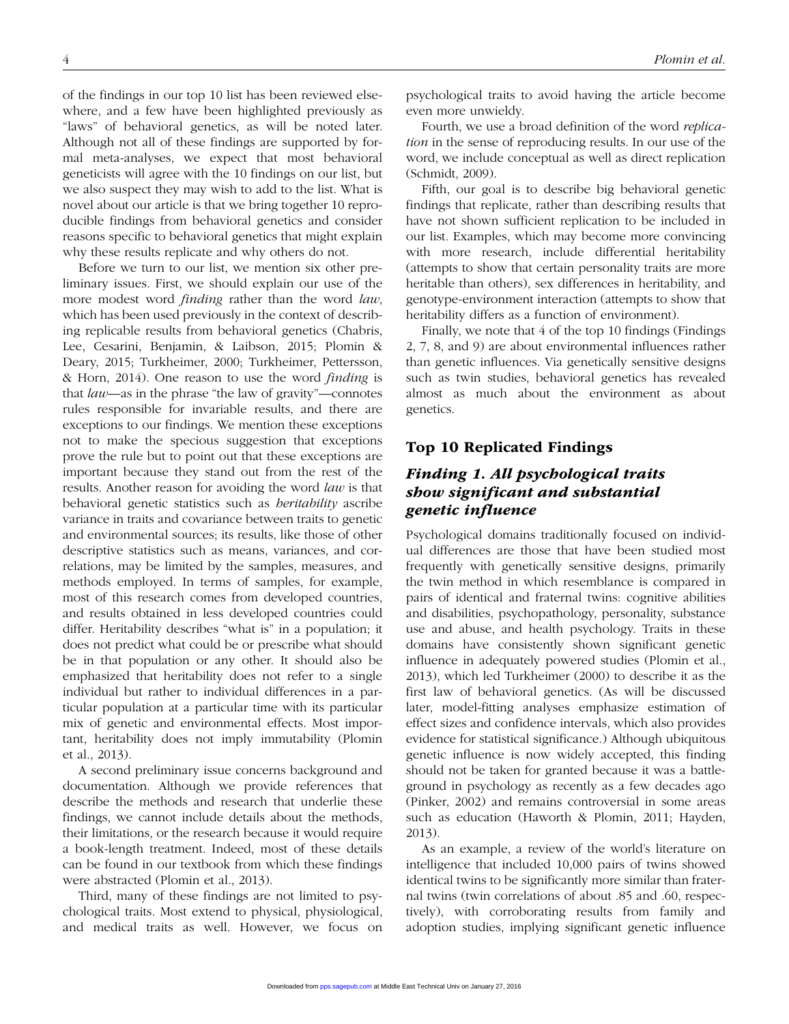of the findings in our top 10 list has been reviewed elsewhere, and a few have been highlighted previously as "laws" of behavioral genetics, as will be noted later. Although not all of these findings are supported by formal meta-analyses, we expect that most behavioral geneticists will agree with the 10 findings on our list, but we also suspect they may wish to add to the list. What is novel about our article is that we bring together 10 reproducible findings from behavioral genetics and consider reasons specific to behavioral genetics that might explain why these results replicate and why others do not.

Before we turn to our list, we mention six other preliminary issues. First, we should explain our use of the more modest word *finding* rather than the word *law*, which has been used previously in the context of describing replicable results from behavioral genetics (Chabris, Lee, Cesarini, Benjamin, & Laibson, 2015; Plomin & Deary, 2015; Turkheimer, 2000; Turkheimer, Pettersson, & Horn, 2014). One reason to use the word *finding* is that *law*—as in the phrase "the law of gravity"—connotes rules responsible for invariable results, and there are exceptions to our findings. We mention these exceptions not to make the specious suggestion that exceptions prove the rule but to point out that these exceptions are important because they stand out from the rest of the results. Another reason for avoiding the word *law* is that behavioral genetic statistics such as *heritability* ascribe variance in traits and covariance between traits to genetic and environmental sources; its results, like those of other descriptive statistics such as means, variances, and correlations, may be limited by the samples, measures, and methods employed. In terms of samples, for example, most of this research comes from developed countries, and results obtained in less developed countries could differ. Heritability describes "what is" in a population; it does not predict what could be or prescribe what should be in that population or any other. It should also be emphasized that heritability does not refer to a single individual but rather to individual differences in a particular population at a particular time with its particular mix of genetic and environmental effects. Most important, heritability does not imply immutability (Plomin et al., 2013).

A second preliminary issue concerns background and documentation. Although we provide references that describe the methods and research that underlie these findings, we cannot include details about the methods, their limitations, or the research because it would require a book-length treatment. Indeed, most of these details can be found in our textbook from which these findings were abstracted (Plomin et al., 2013).

Third, many of these findings are not limited to psychological traits. Most extend to physical, physiological, and medical traits as well. However, we focus on psychological traits to avoid having the article become even more unwieldy.

Fourth, we use a broad definition of the word *replication* in the sense of reproducing results. In our use of the word, we include conceptual as well as direct replication (Schmidt, 2009).

Fifth, our goal is to describe big behavioral genetic findings that replicate, rather than describing results that have not shown sufficient replication to be included in our list. Examples, which may become more convincing with more research, include differential heritability (attempts to show that certain personality traits are more heritable than others), sex differences in heritability, and genotype-environment interaction (attempts to show that heritability differs as a function of environment).

Finally, we note that 4 of the top 10 findings (Findings 2, 7, 8, and 9) are about environmental influences rather than genetic influences. Via genetically sensitive designs such as twin studies, behavioral genetics has revealed almost as much about the environment as about genetics.

### Top 10 Replicated Findings

# *Finding 1. All psychological traits show significant and substantial genetic influence*

Psychological domains traditionally focused on individual differences are those that have been studied most frequently with genetically sensitive designs, primarily the twin method in which resemblance is compared in pairs of identical and fraternal twins: cognitive abilities and disabilities, psychopathology, personality, substance use and abuse, and health psychology. Traits in these domains have consistently shown significant genetic influence in adequately powered studies (Plomin et al., 2013), which led Turkheimer (2000) to describe it as the first law of behavioral genetics. (As will be discussed later, model-fitting analyses emphasize estimation of effect sizes and confidence intervals, which also provides evidence for statistical significance.) Although ubiquitous genetic influence is now widely accepted, this finding should not be taken for granted because it was a battleground in psychology as recently as a few decades ago (Pinker, 2002) and remains controversial in some areas such as education (Haworth & Plomin, 2011; Hayden, 2013).

As an example, a review of the world's literature on intelligence that included 10,000 pairs of twins showed identical twins to be significantly more similar than fraternal twins (twin correlations of about .85 and .60, respectively), with corroborating results from family and adoption studies, implying significant genetic influence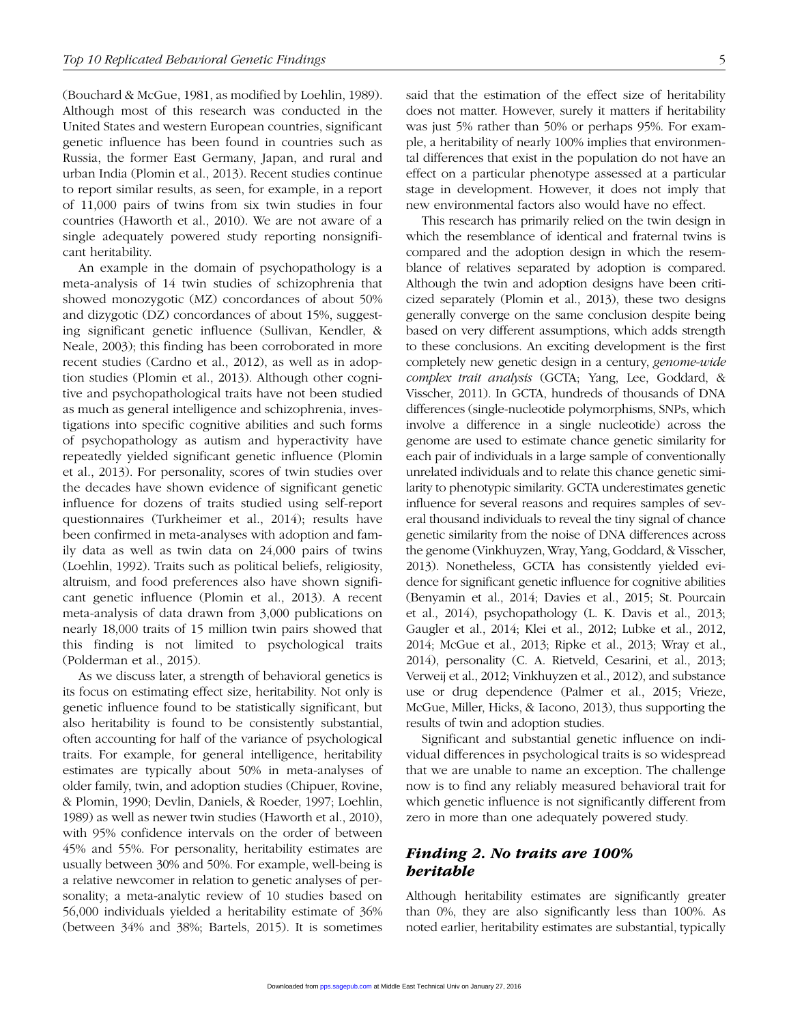(Bouchard & McGue, 1981, as modified by Loehlin, 1989). Although most of this research was conducted in the United States and western European countries, significant genetic influence has been found in countries such as Russia, the former East Germany, Japan, and rural and urban India (Plomin et al., 2013). Recent studies continue to report similar results, as seen, for example, in a report of 11,000 pairs of twins from six twin studies in four countries (Haworth et al., 2010). We are not aware of a single adequately powered study reporting nonsignificant heritability.

An example in the domain of psychopathology is a meta-analysis of 14 twin studies of schizophrenia that showed monozygotic (MZ) concordances of about 50% and dizygotic (DZ) concordances of about 15%, suggesting significant genetic influence (Sullivan, Kendler, & Neale, 2003); this finding has been corroborated in more recent studies (Cardno et al., 2012), as well as in adoption studies (Plomin et al., 2013). Although other cognitive and psychopathological traits have not been studied as much as general intelligence and schizophrenia, investigations into specific cognitive abilities and such forms of psychopathology as autism and hyperactivity have repeatedly yielded significant genetic influence (Plomin et al., 2013). For personality, scores of twin studies over the decades have shown evidence of significant genetic influence for dozens of traits studied using self-report questionnaires (Turkheimer et al., 2014); results have been confirmed in meta-analyses with adoption and family data as well as twin data on 24,000 pairs of twins (Loehlin, 1992). Traits such as political beliefs, religiosity, altruism, and food preferences also have shown significant genetic influence (Plomin et al., 2013). A recent meta-analysis of data drawn from 3,000 publications on nearly 18,000 traits of 15 million twin pairs showed that this finding is not limited to psychological traits (Polderman et al., 2015).

As we discuss later, a strength of behavioral genetics is its focus on estimating effect size, heritability. Not only is genetic influence found to be statistically significant, but also heritability is found to be consistently substantial, often accounting for half of the variance of psychological traits. For example, for general intelligence, heritability estimates are typically about 50% in meta-analyses of older family, twin, and adoption studies (Chipuer, Rovine, & Plomin, 1990; Devlin, Daniels, & Roeder, 1997; Loehlin, 1989) as well as newer twin studies (Haworth et al., 2010), with 95% confidence intervals on the order of between 45% and 55%. For personality, heritability estimates are usually between 30% and 50%. For example, well-being is a relative newcomer in relation to genetic analyses of personality; a meta-analytic review of 10 studies based on 56,000 individuals yielded a heritability estimate of 36% (between 34% and 38%; Bartels, 2015). It is sometimes said that the estimation of the effect size of heritability does not matter. However, surely it matters if heritability was just 5% rather than 50% or perhaps 95%. For example, a heritability of nearly 100% implies that environmental differences that exist in the population do not have an effect on a particular phenotype assessed at a particular stage in development. However, it does not imply that new environmental factors also would have no effect.

This research has primarily relied on the twin design in which the resemblance of identical and fraternal twins is compared and the adoption design in which the resemblance of relatives separated by adoption is compared. Although the twin and adoption designs have been criticized separately (Plomin et al., 2013), these two designs generally converge on the same conclusion despite being based on very different assumptions, which adds strength to these conclusions. An exciting development is the first completely new genetic design in a century, *genome-wide complex trait analysis* (GCTA; Yang, Lee, Goddard, & Visscher, 2011). In GCTA, hundreds of thousands of DNA differences (single-nucleotide polymorphisms, SNPs, which involve a difference in a single nucleotide) across the genome are used to estimate chance genetic similarity for each pair of individuals in a large sample of conventionally unrelated individuals and to relate this chance genetic similarity to phenotypic similarity. GCTA underestimates genetic influence for several reasons and requires samples of several thousand individuals to reveal the tiny signal of chance genetic similarity from the noise of DNA differences across the genome (Vinkhuyzen, Wray, Yang, Goddard, & Visscher, 2013). Nonetheless, GCTA has consistently yielded evidence for significant genetic influence for cognitive abilities (Benyamin et al., 2014; Davies et al., 2015; St. Pourcain et al., 2014), psychopathology (L. K. Davis et al., 2013; Gaugler et al., 2014; Klei et al., 2012; Lubke et al., 2012, 2014; McGue et al., 2013; Ripke et al., 2013; Wray et al., 2014), personality (C. A. Rietveld, Cesarini, et al., 2013; Verweij et al., 2012; Vinkhuyzen et al., 2012), and substance use or drug dependence (Palmer et al., 2015; Vrieze, McGue, Miller, Hicks, & Iacono, 2013), thus supporting the results of twin and adoption studies.

Significant and substantial genetic influence on individual differences in psychological traits is so widespread that we are unable to name an exception. The challenge now is to find any reliably measured behavioral trait for which genetic influence is not significantly different from zero in more than one adequately powered study.

### *Finding 2. No traits are 100% heritable*

Although heritability estimates are significantly greater than 0%, they are also significantly less than 100%. As noted earlier, heritability estimates are substantial, typically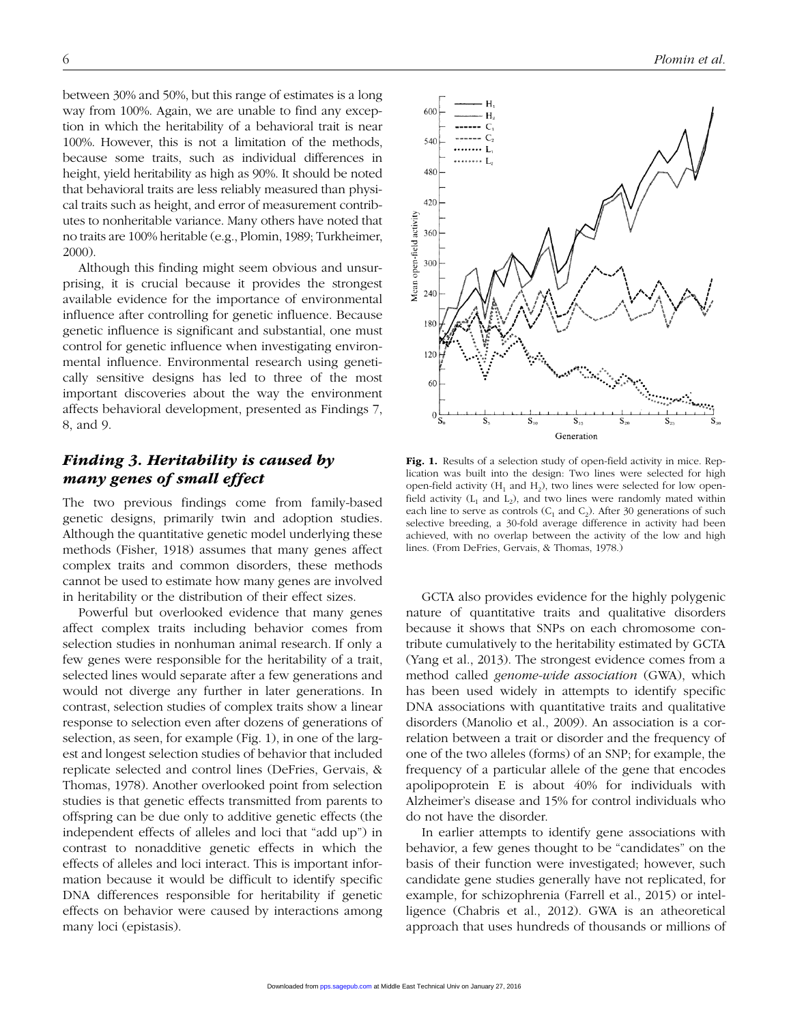between 30% and 50%, but this range of estimates is a long way from 100%. Again, we are unable to find any exception in which the heritability of a behavioral trait is near 100%. However, this is not a limitation of the methods, because some traits, such as individual differences in height, yield heritability as high as 90%. It should be noted that behavioral traits are less reliably measured than physical traits such as height, and error of measurement contributes to nonheritable variance. Many others have noted that no traits are 100% heritable (e.g., Plomin, 1989; Turkheimer, 2000).

Although this finding might seem obvious and unsurprising, it is crucial because it provides the strongest available evidence for the importance of environmental influence after controlling for genetic influence. Because genetic influence is significant and substantial, one must control for genetic influence when investigating environmental influence. Environmental research using genetically sensitive designs has led to three of the most important discoveries about the way the environment affects behavioral development, presented as Findings 7, 8, and 9.

### *Finding 3. Heritability is caused by many genes of small effect*

The two previous findings come from family-based genetic designs, primarily twin and adoption studies. Although the quantitative genetic model underlying these methods (Fisher, 1918) assumes that many genes affect complex traits and common disorders, these methods cannot be used to estimate how many genes are involved in heritability or the distribution of their effect sizes.

Powerful but overlooked evidence that many genes affect complex traits including behavior comes from selection studies in nonhuman animal research. If only a few genes were responsible for the heritability of a trait, selected lines would separate after a few generations and would not diverge any further in later generations. In contrast, selection studies of complex traits show a linear response to selection even after dozens of generations of selection, as seen, for example (Fig. 1), in one of the largest and longest selection studies of behavior that included replicate selected and control lines (DeFries, Gervais, & Thomas, 1978). Another overlooked point from selection studies is that genetic effects transmitted from parents to offspring can be due only to additive genetic effects (the independent effects of alleles and loci that "add up") in contrast to nonadditive genetic effects in which the effects of alleles and loci interact. This is important information because it would be difficult to identify specific DNA differences responsible for heritability if genetic effects on behavior were caused by interactions among many loci (epistasis).



Fig. 1. Results of a selection study of open-field activity in mice. Replication was built into the design: Two lines were selected for high open-field activity  $(H_1 \text{ and } H_2)$ , two lines were selected for low openfield activity  $(L_1$  and  $L_2$ ), and two lines were randomly mated within each line to serve as controls  $(C_1$  and  $C_2$ ). After 30 generations of such selective breeding, a 30-fold average difference in activity had been achieved, with no overlap between the activity of the low and high lines. (From DeFries, Gervais, & Thomas, 1978.)

GCTA also provides evidence for the highly polygenic nature of quantitative traits and qualitative disorders because it shows that SNPs on each chromosome contribute cumulatively to the heritability estimated by GCTA (Yang et al., 2013). The strongest evidence comes from a method called *genome-wide association* (GWA), which has been used widely in attempts to identify specific DNA associations with quantitative traits and qualitative disorders (Manolio et al., 2009). An association is a correlation between a trait or disorder and the frequency of one of the two alleles (forms) of an SNP; for example, the frequency of a particular allele of the gene that encodes apolipoprotein E is about 40% for individuals with Alzheimer's disease and 15% for control individuals who do not have the disorder.

In earlier attempts to identify gene associations with behavior, a few genes thought to be "candidates" on the basis of their function were investigated; however, such candidate gene studies generally have not replicated, for example, for schizophrenia (Farrell et al., 2015) or intelligence (Chabris et al., 2012). GWA is an atheoretical approach that uses hundreds of thousands or millions of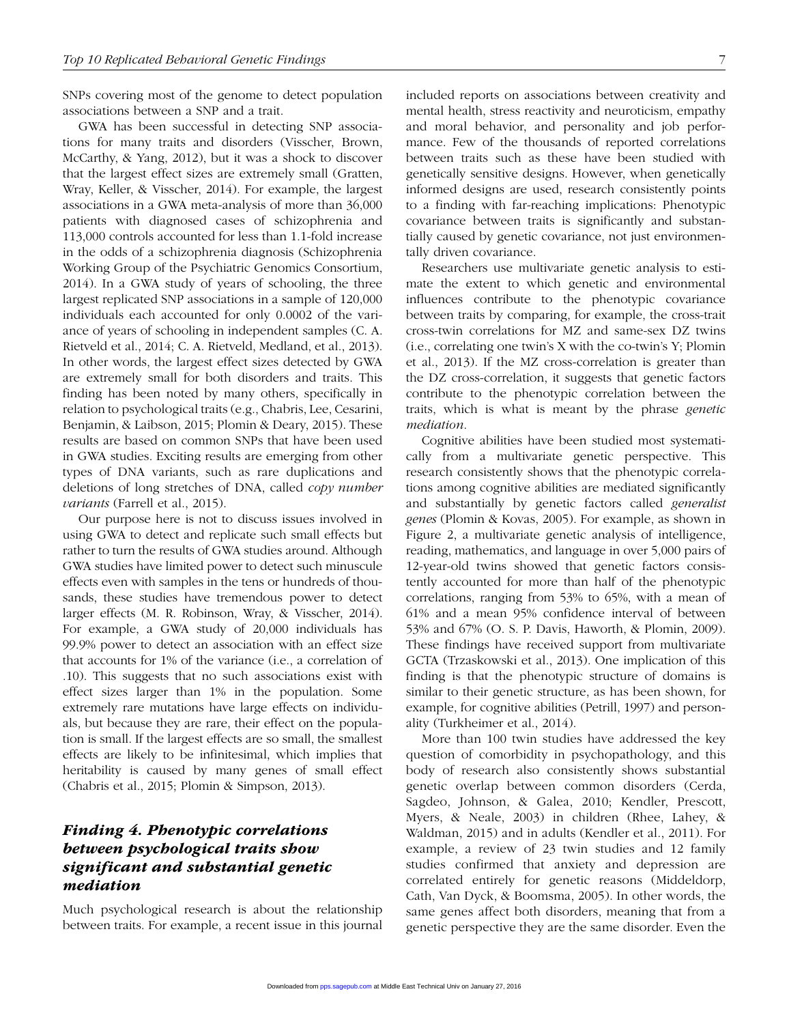SNPs covering most of the genome to detect population associations between a SNP and a trait.

GWA has been successful in detecting SNP associations for many traits and disorders (Visscher, Brown, McCarthy, & Yang, 2012), but it was a shock to discover that the largest effect sizes are extremely small (Gratten, Wray, Keller, & Visscher, 2014). For example, the largest associations in a GWA meta-analysis of more than 36,000 patients with diagnosed cases of schizophrenia and 113,000 controls accounted for less than 1.1-fold increase in the odds of a schizophrenia diagnosis (Schizophrenia Working Group of the Psychiatric Genomics Consortium, 2014). In a GWA study of years of schooling, the three largest replicated SNP associations in a sample of 120,000 individuals each accounted for only 0.0002 of the variance of years of schooling in independent samples (C. A. Rietveld et al., 2014; C. A. Rietveld, Medland, et al., 2013). In other words, the largest effect sizes detected by GWA are extremely small for both disorders and traits. This finding has been noted by many others, specifically in relation to psychological traits (e.g., Chabris, Lee, Cesarini, Benjamin, & Laibson, 2015; Plomin & Deary, 2015). These results are based on common SNPs that have been used in GWA studies. Exciting results are emerging from other types of DNA variants, such as rare duplications and deletions of long stretches of DNA, called *copy number variants* (Farrell et al., 2015).

Our purpose here is not to discuss issues involved in using GWA to detect and replicate such small effects but rather to turn the results of GWA studies around. Although GWA studies have limited power to detect such minuscule effects even with samples in the tens or hundreds of thousands, these studies have tremendous power to detect larger effects (M. R. Robinson, Wray, & Visscher, 2014). For example, a GWA study of 20,000 individuals has 99.9% power to detect an association with an effect size that accounts for 1% of the variance (i.e., a correlation of .10). This suggests that no such associations exist with effect sizes larger than 1% in the population. Some extremely rare mutations have large effects on individuals, but because they are rare, their effect on the population is small. If the largest effects are so small, the smallest effects are likely to be infinitesimal, which implies that heritability is caused by many genes of small effect (Chabris et al., 2015; Plomin & Simpson, 2013).

# *Finding 4. Phenotypic correlations between psychological traits show significant and substantial genetic mediation*

Much psychological research is about the relationship between traits. For example, a recent issue in this journal included reports on associations between creativity and mental health, stress reactivity and neuroticism, empathy and moral behavior, and personality and job performance. Few of the thousands of reported correlations between traits such as these have been studied with genetically sensitive designs. However, when genetically informed designs are used, research consistently points to a finding with far-reaching implications: Phenotypic covariance between traits is significantly and substantially caused by genetic covariance, not just environmentally driven covariance.

Researchers use multivariate genetic analysis to estimate the extent to which genetic and environmental influences contribute to the phenotypic covariance between traits by comparing, for example, the cross-trait cross-twin correlations for MZ and same-sex DZ twins (i.e., correlating one twin's X with the co-twin's Y; Plomin et al., 2013). If the MZ cross-correlation is greater than the DZ cross-correlation, it suggests that genetic factors contribute to the phenotypic correlation between the traits, which is what is meant by the phrase *genetic mediation*.

Cognitive abilities have been studied most systematically from a multivariate genetic perspective. This research consistently shows that the phenotypic correlations among cognitive abilities are mediated significantly and substantially by genetic factors called *generalist genes* (Plomin & Kovas, 2005). For example, as shown in Figure 2, a multivariate genetic analysis of intelligence, reading, mathematics, and language in over 5,000 pairs of 12-year-old twins showed that genetic factors consistently accounted for more than half of the phenotypic correlations, ranging from 53% to 65%, with a mean of 61% and a mean 95% confidence interval of between 53% and 67% (O. S. P. Davis, Haworth, & Plomin, 2009). These findings have received support from multivariate GCTA (Trzaskowski et al., 2013). One implication of this finding is that the phenotypic structure of domains is similar to their genetic structure, as has been shown, for example, for cognitive abilities (Petrill, 1997) and personality (Turkheimer et al., 2014).

More than 100 twin studies have addressed the key question of comorbidity in psychopathology, and this body of research also consistently shows substantial genetic overlap between common disorders (Cerda, Sagdeo, Johnson, & Galea, 2010; Kendler, Prescott, Myers, & Neale, 2003) in children (Rhee, Lahey, & Waldman, 2015) and in adults (Kendler et al., 2011). For example, a review of 23 twin studies and 12 family studies confirmed that anxiety and depression are correlated entirely for genetic reasons (Middeldorp, Cath, Van Dyck, & Boomsma, 2005). In other words, the same genes affect both disorders, meaning that from a genetic perspective they are the same disorder. Even the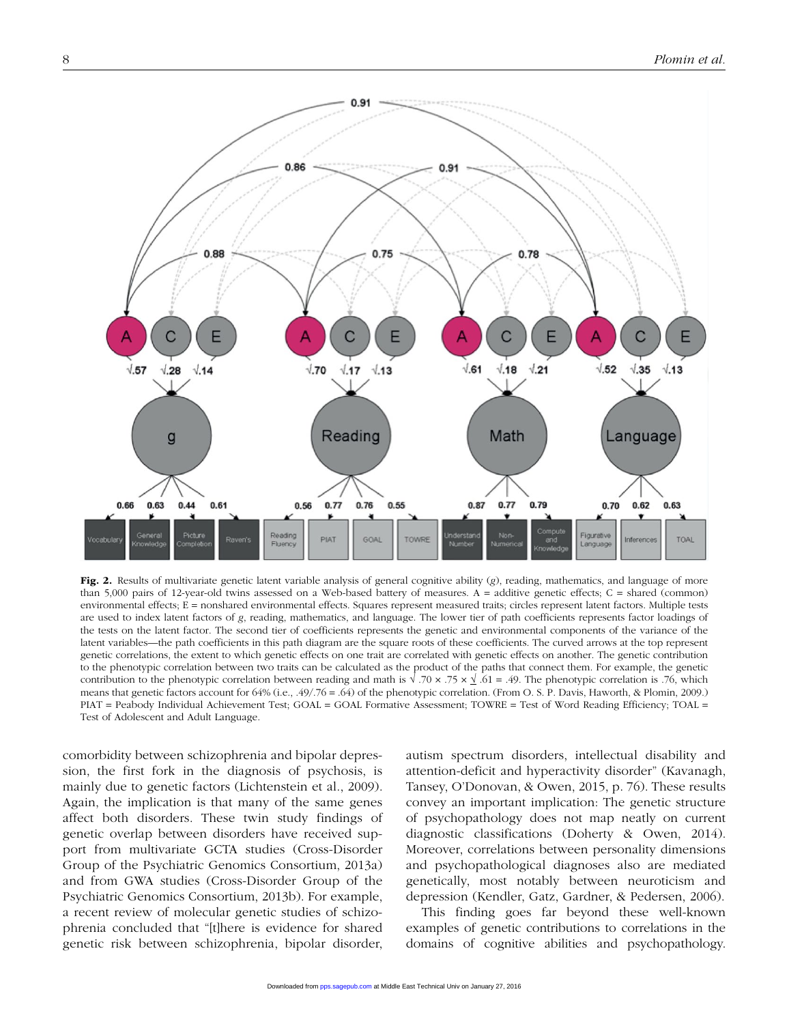

Fig. 2. Results of multivariate genetic latent variable analysis of general cognitive ability (*g*), reading, mathematics, and language of more than 5,000 pairs of 12-year-old twins assessed on a Web-based battery of measures. A = additive genetic effects;  $C =$  shared (common) environmental effects; E = nonshared environmental effects. Squares represent measured traits; circles represent latent factors. Multiple tests are used to index latent factors of *g*, reading, mathematics, and language. The lower tier of path coefficients represents factor loadings of the tests on the latent factor. The second tier of coefficients represents the genetic and environmental components of the variance of the latent variables—the path coefficients in this path diagram are the square roots of these coefficients. The curved arrows at the top represent genetic correlations, the extent to which genetic effects on one trait are correlated with genetic effects on another. The genetic contribution to the phenotypic correlation between two traits can be calculated as the product of the paths that connect them. For example, the genetic contribution to the phenotypic correlation between reading and math is  $\sqrt{.70 \times .75 \times \frac{\sqrt{.61}}{.61}}$ . The phenotypic correlation is .76, which means that genetic factors account for 64% (i.e., .49/.76 = .64) of the phenotypic correlation. (From O. S. P. Davis, Haworth, & Plomin, 2009.) PIAT = Peabody Individual Achievement Test; GOAL = GOAL Formative Assessment; TOWRE = Test of Word Reading Efficiency; TOAL = Test of Adolescent and Adult Language.

comorbidity between schizophrenia and bipolar depression, the first fork in the diagnosis of psychosis, is mainly due to genetic factors (Lichtenstein et al., 2009). Again, the implication is that many of the same genes affect both disorders. These twin study findings of genetic overlap between disorders have received support from multivariate GCTA studies (Cross-Disorder Group of the Psychiatric Genomics Consortium, 2013a) and from GWA studies (Cross-Disorder Group of the Psychiatric Genomics Consortium, 2013b). For example, a recent review of molecular genetic studies of schizophrenia concluded that "[t]here is evidence for shared genetic risk between schizophrenia, bipolar disorder, autism spectrum disorders, intellectual disability and attention-deficit and hyperactivity disorder" (Kavanagh, Tansey, O'Donovan, & Owen, 2015, p. 76). These results convey an important implication: The genetic structure of psychopathology does not map neatly on current diagnostic classifications (Doherty & Owen, 2014). Moreover, correlations between personality dimensions and psychopathological diagnoses also are mediated genetically, most notably between neuroticism and depression (Kendler, Gatz, Gardner, & Pedersen, 2006).

This finding goes far beyond these well-known examples of genetic contributions to correlations in the domains of cognitive abilities and psychopathology.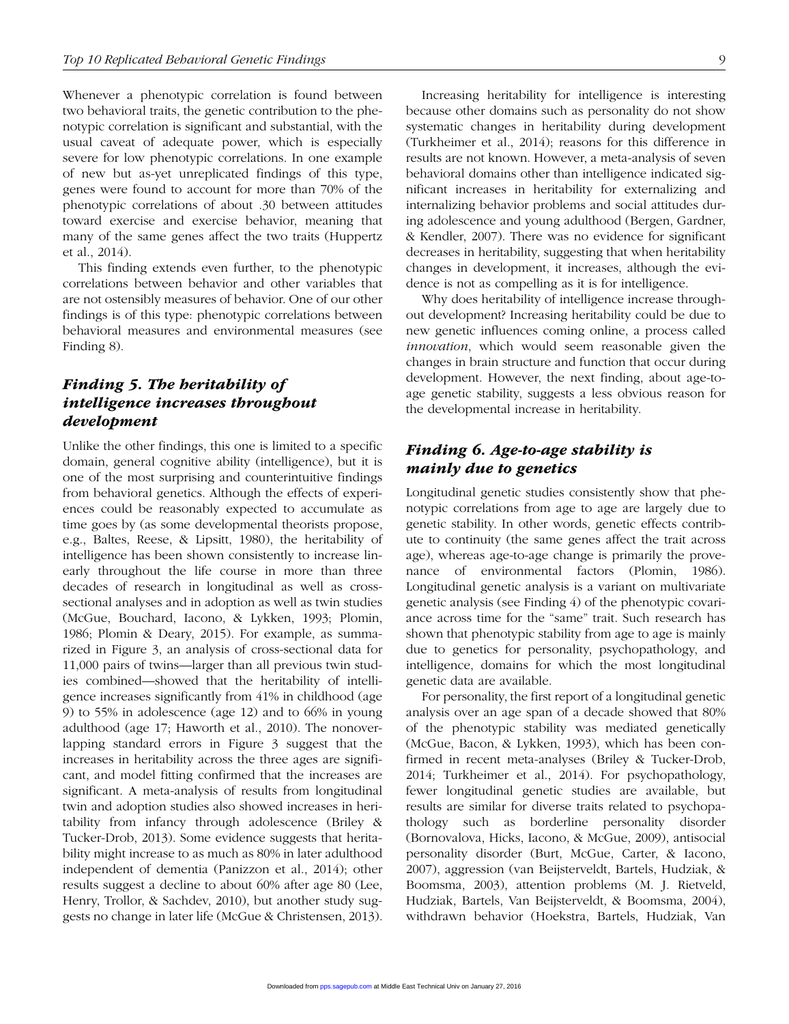Whenever a phenotypic correlation is found between two behavioral traits, the genetic contribution to the phenotypic correlation is significant and substantial, with the usual caveat of adequate power, which is especially severe for low phenotypic correlations. In one example of new but as-yet unreplicated findings of this type, genes were found to account for more than 70% of the phenotypic correlations of about .30 between attitudes toward exercise and exercise behavior, meaning that many of the same genes affect the two traits (Huppertz et al., 2014).

This finding extends even further, to the phenotypic correlations between behavior and other variables that are not ostensibly measures of behavior. One of our other findings is of this type: phenotypic correlations between behavioral measures and environmental measures (see Finding 8).

# *Finding 5. The heritability of intelligence increases throughout development*

Unlike the other findings, this one is limited to a specific domain, general cognitive ability (intelligence), but it is one of the most surprising and counterintuitive findings from behavioral genetics. Although the effects of experiences could be reasonably expected to accumulate as time goes by (as some developmental theorists propose, e.g., Baltes, Reese, & Lipsitt, 1980), the heritability of intelligence has been shown consistently to increase linearly throughout the life course in more than three decades of research in longitudinal as well as crosssectional analyses and in adoption as well as twin studies (McGue, Bouchard, Iacono, & Lykken, 1993; Plomin, 1986; Plomin & Deary, 2015). For example, as summarized in Figure 3, an analysis of cross-sectional data for 11,000 pairs of twins—larger than all previous twin studies combined—showed that the heritability of intelligence increases significantly from 41% in childhood (age 9) to 55% in adolescence (age 12) and to 66% in young adulthood (age 17; Haworth et al., 2010). The nonoverlapping standard errors in Figure 3 suggest that the increases in heritability across the three ages are significant, and model fitting confirmed that the increases are significant. A meta-analysis of results from longitudinal twin and adoption studies also showed increases in heritability from infancy through adolescence (Briley & Tucker-Drob, 2013). Some evidence suggests that heritability might increase to as much as 80% in later adulthood independent of dementia (Panizzon et al., 2014); other results suggest a decline to about 60% after age 80 (Lee, Henry, Trollor, & Sachdev, 2010), but another study suggests no change in later life (McGue & Christensen, 2013).

Increasing heritability for intelligence is interesting because other domains such as personality do not show systematic changes in heritability during development (Turkheimer et al., 2014); reasons for this difference in results are not known. However, a meta-analysis of seven behavioral domains other than intelligence indicated significant increases in heritability for externalizing and internalizing behavior problems and social attitudes during adolescence and young adulthood (Bergen, Gardner, & Kendler, 2007). There was no evidence for significant decreases in heritability, suggesting that when heritability changes in development, it increases, although the evidence is not as compelling as it is for intelligence.

Why does heritability of intelligence increase throughout development? Increasing heritability could be due to new genetic influences coming online, a process called *innovation*, which would seem reasonable given the changes in brain structure and function that occur during development. However, the next finding, about age-toage genetic stability, suggests a less obvious reason for the developmental increase in heritability.

### *Finding 6. Age-to-age stability is mainly due to genetics*

Longitudinal genetic studies consistently show that phenotypic correlations from age to age are largely due to genetic stability. In other words, genetic effects contribute to continuity (the same genes affect the trait across age), whereas age-to-age change is primarily the provenance of environmental factors (Plomin, 1986). Longitudinal genetic analysis is a variant on multivariate genetic analysis (see Finding 4) of the phenotypic covariance across time for the "same" trait. Such research has shown that phenotypic stability from age to age is mainly due to genetics for personality, psychopathology, and intelligence, domains for which the most longitudinal genetic data are available.

For personality, the first report of a longitudinal genetic analysis over an age span of a decade showed that 80% of the phenotypic stability was mediated genetically (McGue, Bacon, & Lykken, 1993), which has been confirmed in recent meta-analyses (Briley & Tucker-Drob, 2014; Turkheimer et al., 2014). For psychopathology, fewer longitudinal genetic studies are available, but results are similar for diverse traits related to psychopathology such as borderline personality disorder (Bornovalova, Hicks, Iacono, & McGue, 2009), antisocial personality disorder (Burt, McGue, Carter, & Iacono, 2007), aggression (van Beijsterveldt, Bartels, Hudziak, & Boomsma, 2003), attention problems (M. J. Rietveld, Hudziak, Bartels, Van Beijsterveldt, & Boomsma, 2004), withdrawn behavior (Hoekstra, Bartels, Hudziak, Van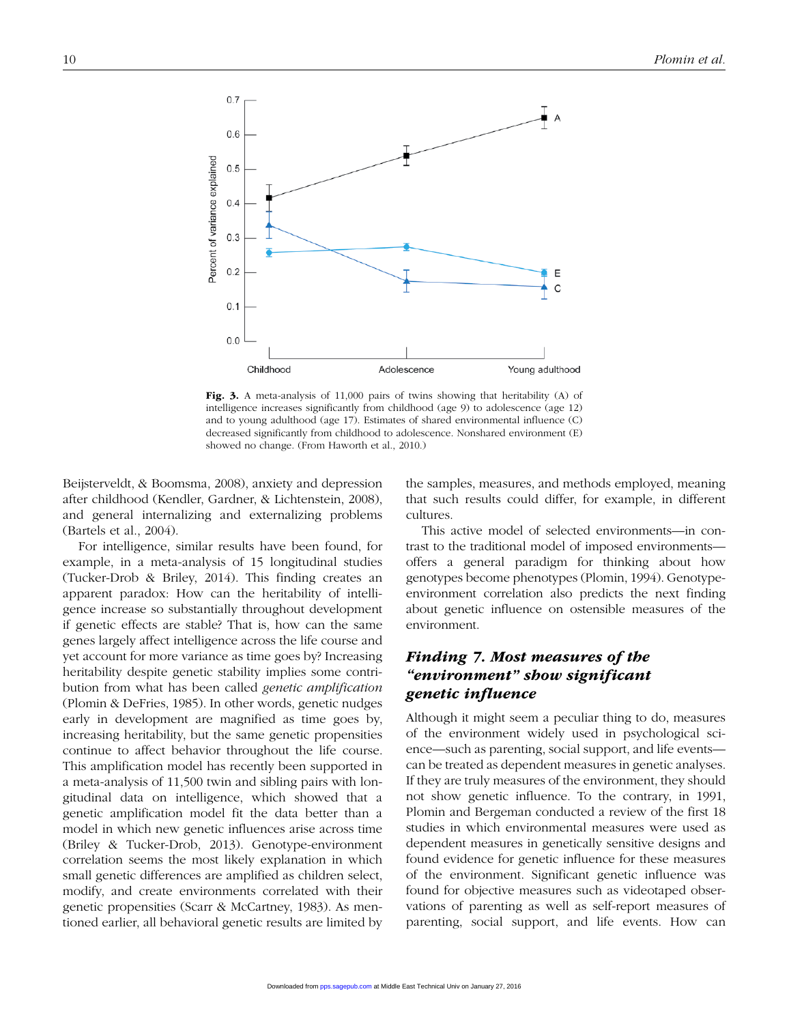

Fig. 3. A meta-analysis of 11,000 pairs of twins showing that heritability (A) of intelligence increases significantly from childhood (age 9) to adolescence (age 12) and to young adulthood (age 17). Estimates of shared environmental influence (C) decreased significantly from childhood to adolescence. Nonshared environment (E) showed no change. (From Haworth et al., 2010.)

Beijsterveldt, & Boomsma, 2008), anxiety and depression after childhood (Kendler, Gardner, & Lichtenstein, 2008), and general internalizing and externalizing problems (Bartels et al., 2004).

For intelligence, similar results have been found, for example, in a meta-analysis of 15 longitudinal studies (Tucker-Drob & Briley, 2014). This finding creates an apparent paradox: How can the heritability of intelligence increase so substantially throughout development if genetic effects are stable? That is, how can the same genes largely affect intelligence across the life course and yet account for more variance as time goes by? Increasing heritability despite genetic stability implies some contribution from what has been called *genetic amplification* (Plomin & DeFries, 1985). In other words, genetic nudges early in development are magnified as time goes by, increasing heritability, but the same genetic propensities continue to affect behavior throughout the life course. This amplification model has recently been supported in a meta-analysis of 11,500 twin and sibling pairs with longitudinal data on intelligence, which showed that a genetic amplification model fit the data better than a model in which new genetic influences arise across time (Briley & Tucker-Drob, 2013). Genotype-environment correlation seems the most likely explanation in which small genetic differences are amplified as children select, modify, and create environments correlated with their genetic propensities (Scarr & McCartney, 1983). As mentioned earlier, all behavioral genetic results are limited by the samples, measures, and methods employed, meaning that such results could differ, for example, in different cultures.

This active model of selected environments—in contrast to the traditional model of imposed environments offers a general paradigm for thinking about how genotypes become phenotypes (Plomin, 1994). Genotypeenvironment correlation also predicts the next finding about genetic influence on ostensible measures of the environment.

# *Finding 7. Most measures of the "environment" show significant genetic influence*

Although it might seem a peculiar thing to do, measures of the environment widely used in psychological science—such as parenting, social support, and life events can be treated as dependent measures in genetic analyses. If they are truly measures of the environment, they should not show genetic influence. To the contrary, in 1991, Plomin and Bergeman conducted a review of the first 18 studies in which environmental measures were used as dependent measures in genetically sensitive designs and found evidence for genetic influence for these measures of the environment. Significant genetic influence was found for objective measures such as videotaped observations of parenting as well as self-report measures of parenting, social support, and life events. How can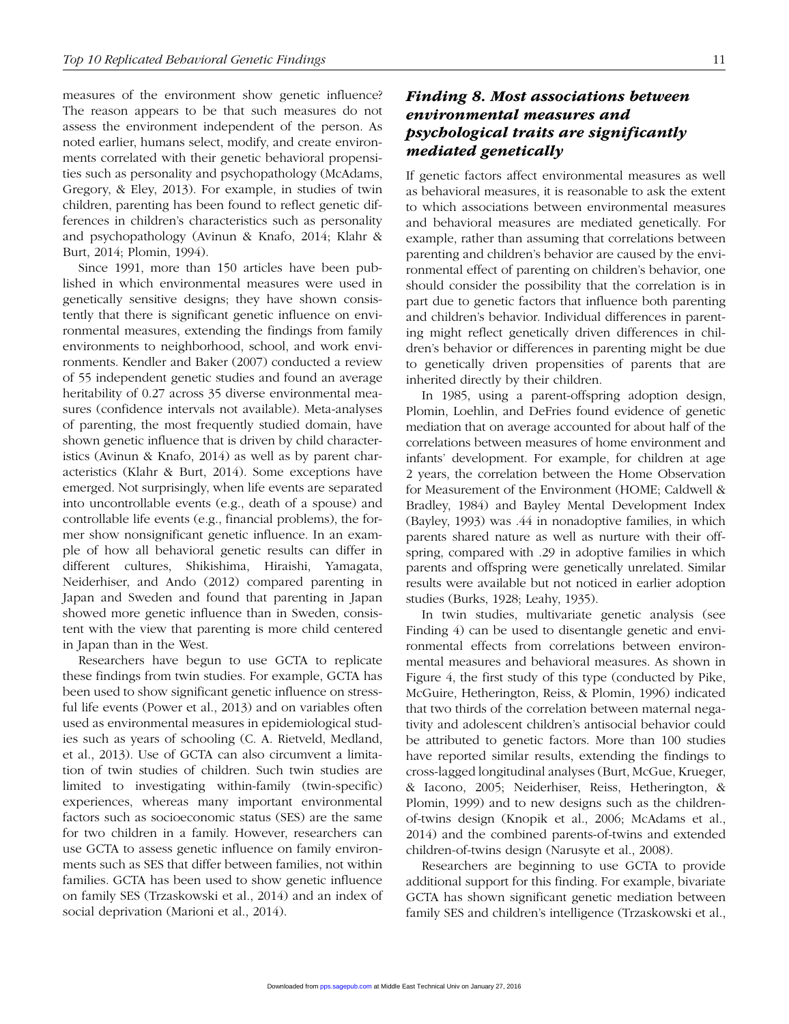measures of the environment show genetic influence? The reason appears to be that such measures do not assess the environment independent of the person. As noted earlier, humans select, modify, and create environments correlated with their genetic behavioral propensities such as personality and psychopathology (McAdams, Gregory, & Eley, 2013). For example, in studies of twin children, parenting has been found to reflect genetic differences in children's characteristics such as personality and psychopathology (Avinun & Knafo, 2014; Klahr & Burt, 2014; Plomin, 1994).

Since 1991, more than 150 articles have been published in which environmental measures were used in genetically sensitive designs; they have shown consistently that there is significant genetic influence on environmental measures, extending the findings from family environments to neighborhood, school, and work environments. Kendler and Baker (2007) conducted a review of 55 independent genetic studies and found an average heritability of 0.27 across 35 diverse environmental measures (confidence intervals not available). Meta-analyses of parenting, the most frequently studied domain, have shown genetic influence that is driven by child characteristics (Avinun & Knafo, 2014) as well as by parent characteristics (Klahr & Burt, 2014). Some exceptions have emerged. Not surprisingly, when life events are separated into uncontrollable events (e.g., death of a spouse) and controllable life events (e.g., financial problems), the former show nonsignificant genetic influence. In an example of how all behavioral genetic results can differ in different cultures, Shikishima, Hiraishi, Yamagata, Neiderhiser, and Ando (2012) compared parenting in Japan and Sweden and found that parenting in Japan showed more genetic influence than in Sweden, consistent with the view that parenting is more child centered in Japan than in the West.

Researchers have begun to use GCTA to replicate these findings from twin studies. For example, GCTA has been used to show significant genetic influence on stressful life events (Power et al., 2013) and on variables often used as environmental measures in epidemiological studies such as years of schooling (C. A. Rietveld, Medland, et al., 2013). Use of GCTA can also circumvent a limitation of twin studies of children. Such twin studies are limited to investigating within-family (twin-specific) experiences, whereas many important environmental factors such as socioeconomic status (SES) are the same for two children in a family. However, researchers can use GCTA to assess genetic influence on family environments such as SES that differ between families, not within families. GCTA has been used to show genetic influence on family SES (Trzaskowski et al., 2014) and an index of social deprivation (Marioni et al., 2014).

### *Finding 8. Most associations between environmental measures and psychological traits are significantly mediated genetically*

If genetic factors affect environmental measures as well as behavioral measures, it is reasonable to ask the extent to which associations between environmental measures and behavioral measures are mediated genetically. For example, rather than assuming that correlations between parenting and children's behavior are caused by the environmental effect of parenting on children's behavior, one should consider the possibility that the correlation is in part due to genetic factors that influence both parenting and children's behavior. Individual differences in parenting might reflect genetically driven differences in children's behavior or differences in parenting might be due to genetically driven propensities of parents that are inherited directly by their children.

In 1985, using a parent-offspring adoption design, Plomin, Loehlin, and DeFries found evidence of genetic mediation that on average accounted for about half of the correlations between measures of home environment and infants' development. For example, for children at age 2 years, the correlation between the Home Observation for Measurement of the Environment (HOME; Caldwell & Bradley, 1984) and Bayley Mental Development Index (Bayley, 1993) was .44 in nonadoptive families, in which parents shared nature as well as nurture with their offspring, compared with .29 in adoptive families in which parents and offspring were genetically unrelated. Similar results were available but not noticed in earlier adoption studies (Burks, 1928; Leahy, 1935).

In twin studies, multivariate genetic analysis (see Finding 4) can be used to disentangle genetic and environmental effects from correlations between environmental measures and behavioral measures. As shown in Figure 4, the first study of this type (conducted by Pike, McGuire, Hetherington, Reiss, & Plomin, 1996) indicated that two thirds of the correlation between maternal negativity and adolescent children's antisocial behavior could be attributed to genetic factors. More than 100 studies have reported similar results, extending the findings to cross-lagged longitudinal analyses (Burt, McGue, Krueger, & Iacono, 2005; Neiderhiser, Reiss, Hetherington, & Plomin, 1999) and to new designs such as the childrenof-twins design (Knopik et al., 2006; McAdams et al., 2014) and the combined parents-of-twins and extended children-of-twins design (Narusyte et al., 2008).

Researchers are beginning to use GCTA to provide additional support for this finding. For example, bivariate GCTA has shown significant genetic mediation between family SES and children's intelligence (Trzaskowski et al.,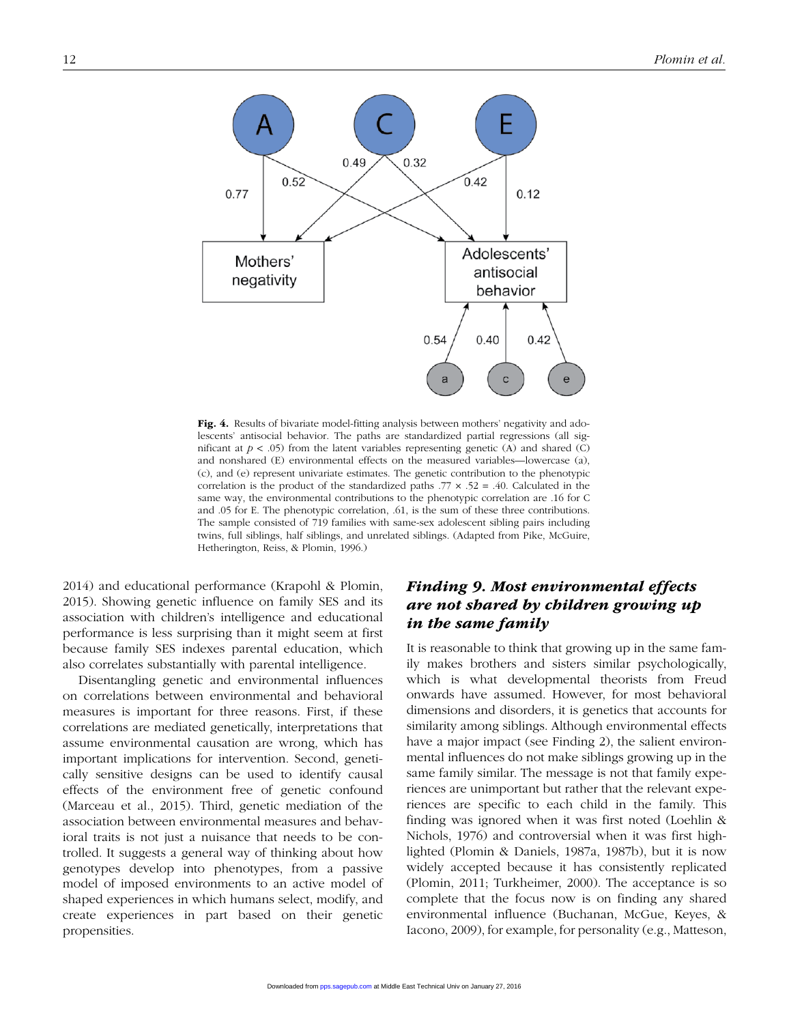

Fig. 4. Results of bivariate model-fitting analysis between mothers' negativity and adolescents' antisocial behavior. The paths are standardized partial regressions (all significant at  $p < .05$ ) from the latent variables representing genetic (A) and shared (C) and nonshared (E) environmental effects on the measured variables—lowercase (a), (c), and (e) represent univariate estimates. The genetic contribution to the phenotypic correlation is the product of the standardized paths  $.77 \times .52 = .40$ . Calculated in the same way, the environmental contributions to the phenotypic correlation are .16 for C and .05 for E. The phenotypic correlation, .61, is the sum of these three contributions. The sample consisted of 719 families with same-sex adolescent sibling pairs including twins, full siblings, half siblings, and unrelated siblings. (Adapted from Pike, McGuire, Hetherington, Reiss, & Plomin, 1996.)

2014) and educational performance (Krapohl & Plomin, 2015). Showing genetic influence on family SES and its association with children's intelligence and educational performance is less surprising than it might seem at first because family SES indexes parental education, which also correlates substantially with parental intelligence.

Disentangling genetic and environmental influences on correlations between environmental and behavioral measures is important for three reasons. First, if these correlations are mediated genetically, interpretations that assume environmental causation are wrong, which has important implications for intervention. Second, genetically sensitive designs can be used to identify causal effects of the environment free of genetic confound (Marceau et al., 2015). Third, genetic mediation of the association between environmental measures and behavioral traits is not just a nuisance that needs to be controlled. It suggests a general way of thinking about how genotypes develop into phenotypes, from a passive model of imposed environments to an active model of shaped experiences in which humans select, modify, and create experiences in part based on their genetic propensities.

# *Finding 9. Most environmental effects are not shared by children growing up in the same family*

It is reasonable to think that growing up in the same family makes brothers and sisters similar psychologically, which is what developmental theorists from Freud onwards have assumed. However, for most behavioral dimensions and disorders, it is genetics that accounts for similarity among siblings. Although environmental effects have a major impact (see Finding 2), the salient environmental influences do not make siblings growing up in the same family similar. The message is not that family experiences are unimportant but rather that the relevant experiences are specific to each child in the family. This finding was ignored when it was first noted (Loehlin & Nichols, 1976) and controversial when it was first highlighted (Plomin & Daniels, 1987a, 1987b), but it is now widely accepted because it has consistently replicated (Plomin, 2011; Turkheimer, 2000). The acceptance is so complete that the focus now is on finding any shared environmental influence (Buchanan, McGue, Keyes, & Iacono, 2009), for example, for personality (e.g., Matteson,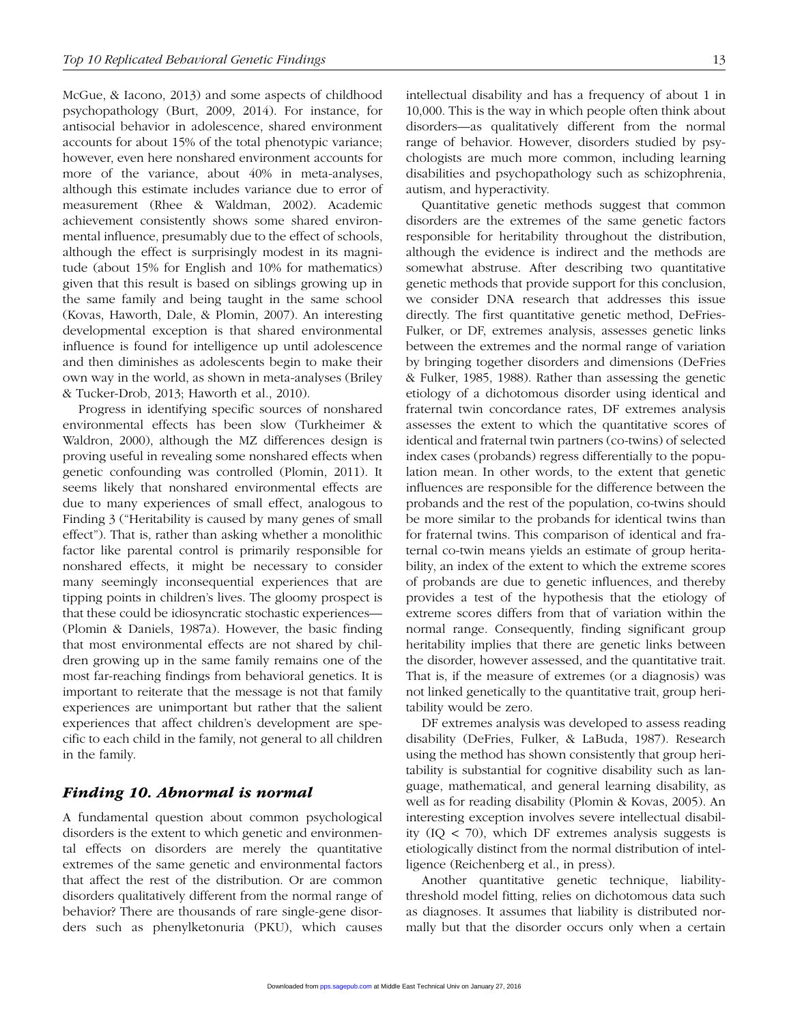McGue, & Iacono, 2013) and some aspects of childhood psychopathology (Burt, 2009, 2014). For instance, for antisocial behavior in adolescence, shared environment accounts for about 15% of the total phenotypic variance; however, even here nonshared environment accounts for more of the variance, about 40% in meta-analyses, although this estimate includes variance due to error of measurement (Rhee & Waldman, 2002). Academic achievement consistently shows some shared environmental influence, presumably due to the effect of schools, although the effect is surprisingly modest in its magnitude (about 15% for English and 10% for mathematics) given that this result is based on siblings growing up in the same family and being taught in the same school (Kovas, Haworth, Dale, & Plomin, 2007). An interesting developmental exception is that shared environmental influence is found for intelligence up until adolescence and then diminishes as adolescents begin to make their own way in the world, as shown in meta-analyses (Briley & Tucker-Drob, 2013; Haworth et al., 2010).

Progress in identifying specific sources of nonshared environmental effects has been slow (Turkheimer & Waldron, 2000), although the MZ differences design is proving useful in revealing some nonshared effects when genetic confounding was controlled (Plomin, 2011). It seems likely that nonshared environmental effects are due to many experiences of small effect, analogous to Finding 3 ("Heritability is caused by many genes of small effect"). That is, rather than asking whether a monolithic factor like parental control is primarily responsible for nonshared effects, it might be necessary to consider many seemingly inconsequential experiences that are tipping points in children's lives. The gloomy prospect is that these could be idiosyncratic stochastic experiences— (Plomin & Daniels, 1987a). However, the basic finding that most environmental effects are not shared by children growing up in the same family remains one of the most far-reaching findings from behavioral genetics. It is important to reiterate that the message is not that family experiences are unimportant but rather that the salient experiences that affect children's development are specific to each child in the family, not general to all children in the family.

### *Finding 10. Abnormal is normal*

A fundamental question about common psychological disorders is the extent to which genetic and environmental effects on disorders are merely the quantitative extremes of the same genetic and environmental factors that affect the rest of the distribution. Or are common disorders qualitatively different from the normal range of behavior? There are thousands of rare single-gene disorders such as phenylketonuria (PKU), which causes intellectual disability and has a frequency of about 1 in 10,000. This is the way in which people often think about disorders—as qualitatively different from the normal range of behavior. However, disorders studied by psychologists are much more common, including learning disabilities and psychopathology such as schizophrenia, autism, and hyperactivity.

Quantitative genetic methods suggest that common disorders are the extremes of the same genetic factors responsible for heritability throughout the distribution, although the evidence is indirect and the methods are somewhat abstruse. After describing two quantitative genetic methods that provide support for this conclusion, we consider DNA research that addresses this issue directly. The first quantitative genetic method, DeFries-Fulker, or DF, extremes analysis, assesses genetic links between the extremes and the normal range of variation by bringing together disorders and dimensions (DeFries & Fulker, 1985, 1988). Rather than assessing the genetic etiology of a dichotomous disorder using identical and fraternal twin concordance rates, DF extremes analysis assesses the extent to which the quantitative scores of identical and fraternal twin partners (co-twins) of selected index cases (probands) regress differentially to the population mean. In other words, to the extent that genetic influences are responsible for the difference between the probands and the rest of the population, co-twins should be more similar to the probands for identical twins than for fraternal twins. This comparison of identical and fraternal co-twin means yields an estimate of group heritability, an index of the extent to which the extreme scores of probands are due to genetic influences, and thereby provides a test of the hypothesis that the etiology of extreme scores differs from that of variation within the normal range. Consequently, finding significant group heritability implies that there are genetic links between the disorder, however assessed, and the quantitative trait. That is, if the measure of extremes (or a diagnosis) was not linked genetically to the quantitative trait, group heritability would be zero.

DF extremes analysis was developed to assess reading disability (DeFries, Fulker, & LaBuda, 1987). Research using the method has shown consistently that group heritability is substantial for cognitive disability such as language, mathematical, and general learning disability, as well as for reading disability (Plomin & Kovas, 2005). An interesting exception involves severe intellectual disability (IQ < 70), which DF extremes analysis suggests is etiologically distinct from the normal distribution of intelligence (Reichenberg et al., in press).

Another quantitative genetic technique, liabilitythreshold model fitting, relies on dichotomous data such as diagnoses. It assumes that liability is distributed normally but that the disorder occurs only when a certain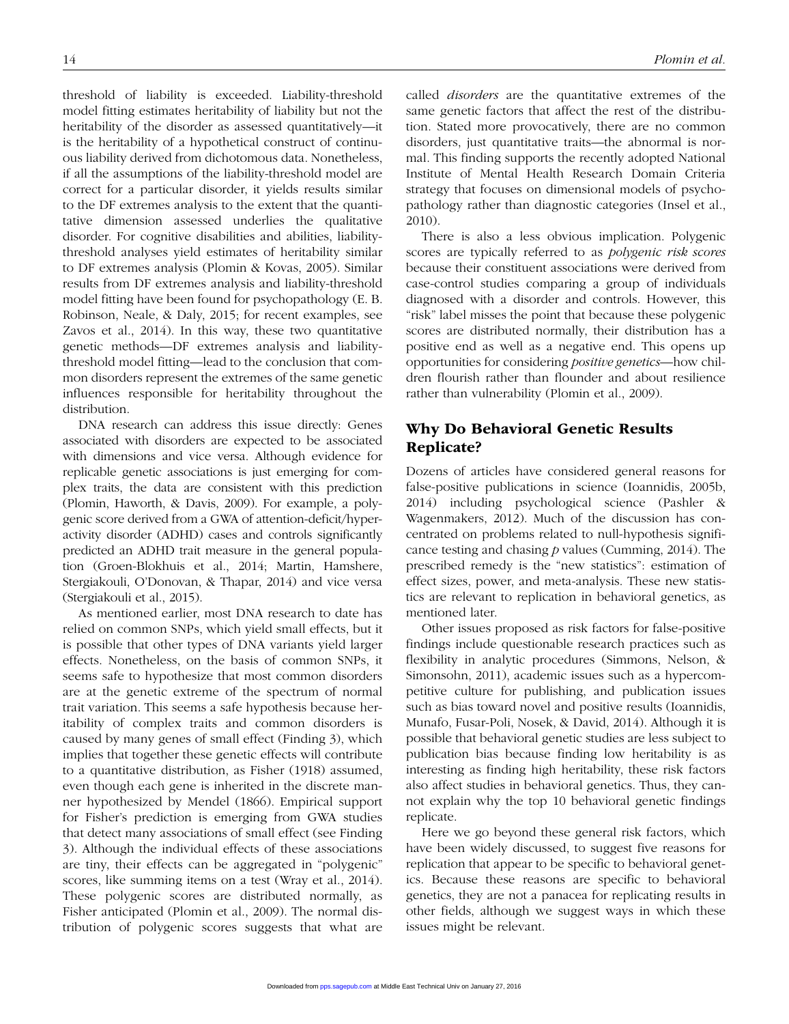threshold of liability is exceeded. Liability-threshold model fitting estimates heritability of liability but not the heritability of the disorder as assessed quantitatively—it is the heritability of a hypothetical construct of continuous liability derived from dichotomous data. Nonetheless, if all the assumptions of the liability-threshold model are correct for a particular disorder, it yields results similar to the DF extremes analysis to the extent that the quantitative dimension assessed underlies the qualitative disorder. For cognitive disabilities and abilities, liabilitythreshold analyses yield estimates of heritability similar to DF extremes analysis (Plomin & Kovas, 2005). Similar results from DF extremes analysis and liability-threshold model fitting have been found for psychopathology (E. B. Robinson, Neale, & Daly, 2015; for recent examples, see Zavos et al., 2014). In this way, these two quantitative genetic methods—DF extremes analysis and liabilitythreshold model fitting—lead to the conclusion that common disorders represent the extremes of the same genetic influences responsible for heritability throughout the distribution.

DNA research can address this issue directly: Genes associated with disorders are expected to be associated with dimensions and vice versa. Although evidence for replicable genetic associations is just emerging for complex traits, the data are consistent with this prediction (Plomin, Haworth, & Davis, 2009). For example, a polygenic score derived from a GWA of attention-deficit/hyperactivity disorder (ADHD) cases and controls significantly predicted an ADHD trait measure in the general population (Groen-Blokhuis et al., 2014; Martin, Hamshere, Stergiakouli, O'Donovan, & Thapar, 2014) and vice versa (Stergiakouli et al., 2015).

As mentioned earlier, most DNA research to date has relied on common SNPs, which yield small effects, but it is possible that other types of DNA variants yield larger effects. Nonetheless, on the basis of common SNPs, it seems safe to hypothesize that most common disorders are at the genetic extreme of the spectrum of normal trait variation. This seems a safe hypothesis because heritability of complex traits and common disorders is caused by many genes of small effect (Finding 3), which implies that together these genetic effects will contribute to a quantitative distribution, as Fisher (1918) assumed, even though each gene is inherited in the discrete manner hypothesized by Mendel (1866). Empirical support for Fisher's prediction is emerging from GWA studies that detect many associations of small effect (see Finding 3). Although the individual effects of these associations are tiny, their effects can be aggregated in "polygenic" scores, like summing items on a test (Wray et al., 2014). These polygenic scores are distributed normally, as Fisher anticipated (Plomin et al., 2009). The normal distribution of polygenic scores suggests that what are

called *disorders* are the quantitative extremes of the same genetic factors that affect the rest of the distribution. Stated more provocatively, there are no common disorders, just quantitative traits—the abnormal is normal. This finding supports the recently adopted National Institute of Mental Health Research Domain Criteria strategy that focuses on dimensional models of psychopathology rather than diagnostic categories (Insel et al., 2010).

There is also a less obvious implication. Polygenic scores are typically referred to as *polygenic risk scores* because their constituent associations were derived from case-control studies comparing a group of individuals diagnosed with a disorder and controls. However, this "risk" label misses the point that because these polygenic scores are distributed normally, their distribution has a positive end as well as a negative end. This opens up opportunities for considering *positive genetics*—how children flourish rather than flounder and about resilience rather than vulnerability (Plomin et al., 2009).

# Why Do Behavioral Genetic Results Replicate?

Dozens of articles have considered general reasons for false-positive publications in science (Ioannidis, 2005b, 2014) including psychological science (Pashler & Wagenmakers, 2012). Much of the discussion has concentrated on problems related to null-hypothesis significance testing and chasing *p* values (Cumming, 2014). The prescribed remedy is the "new statistics": estimation of effect sizes, power, and meta-analysis. These new statistics are relevant to replication in behavioral genetics, as mentioned later.

Other issues proposed as risk factors for false-positive findings include questionable research practices such as flexibility in analytic procedures (Simmons, Nelson, & Simonsohn, 2011), academic issues such as a hypercompetitive culture for publishing, and publication issues such as bias toward novel and positive results (Ioannidis, Munafo, Fusar-Poli, Nosek, & David, 2014). Although it is possible that behavioral genetic studies are less subject to publication bias because finding low heritability is as interesting as finding high heritability, these risk factors also affect studies in behavioral genetics. Thus, they cannot explain why the top 10 behavioral genetic findings replicate.

Here we go beyond these general risk factors, which have been widely discussed, to suggest five reasons for replication that appear to be specific to behavioral genetics. Because these reasons are specific to behavioral genetics, they are not a panacea for replicating results in other fields, although we suggest ways in which these issues might be relevant.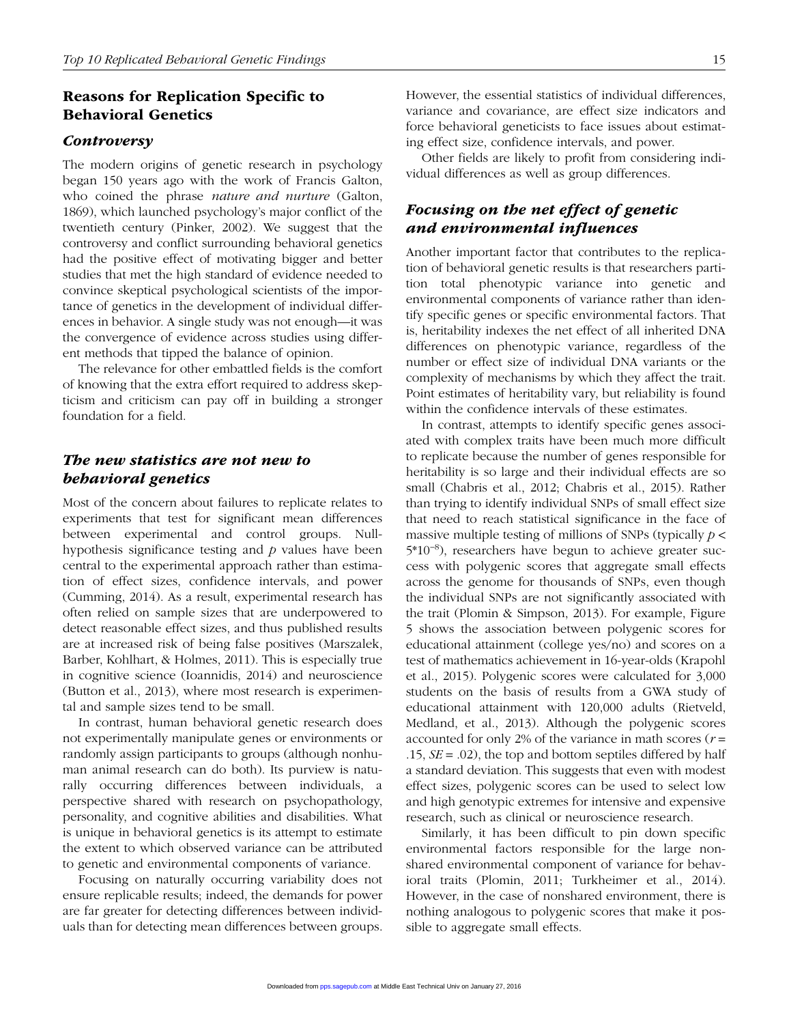### Reasons for Replication Specific to Behavioral Genetics

### *Controversy*

The modern origins of genetic research in psychology began 150 years ago with the work of Francis Galton, who coined the phrase *nature and nurture* (Galton, 1869), which launched psychology's major conflict of the twentieth century (Pinker, 2002). We suggest that the controversy and conflict surrounding behavioral genetics had the positive effect of motivating bigger and better studies that met the high standard of evidence needed to convince skeptical psychological scientists of the importance of genetics in the development of individual differences in behavior. A single study was not enough—it was the convergence of evidence across studies using different methods that tipped the balance of opinion.

The relevance for other embattled fields is the comfort of knowing that the extra effort required to address skepticism and criticism can pay off in building a stronger foundation for a field.

# *The new statistics are not new to behavioral genetics*

Most of the concern about failures to replicate relates to experiments that test for significant mean differences between experimental and control groups. Nullhypothesis significance testing and *p* values have been central to the experimental approach rather than estimation of effect sizes, confidence intervals, and power (Cumming, 2014). As a result, experimental research has often relied on sample sizes that are underpowered to detect reasonable effect sizes, and thus published results are at increased risk of being false positives (Marszalek, Barber, Kohlhart, & Holmes, 2011). This is especially true in cognitive science (Ioannidis, 2014) and neuroscience (Button et al., 2013), where most research is experimental and sample sizes tend to be small.

In contrast, human behavioral genetic research does not experimentally manipulate genes or environments or randomly assign participants to groups (although nonhuman animal research can do both). Its purview is naturally occurring differences between individuals, a perspective shared with research on psychopathology, personality, and cognitive abilities and disabilities. What is unique in behavioral genetics is its attempt to estimate the extent to which observed variance can be attributed to genetic and environmental components of variance.

Focusing on naturally occurring variability does not ensure replicable results; indeed, the demands for power are far greater for detecting differences between individuals than for detecting mean differences between groups. However, the essential statistics of individual differences, variance and covariance, are effect size indicators and force behavioral geneticists to face issues about estimating effect size, confidence intervals, and power.

Other fields are likely to profit from considering individual differences as well as group differences.

### *Focusing on the net effect of genetic and environmental influences*

Another important factor that contributes to the replication of behavioral genetic results is that researchers partition total phenotypic variance into genetic and environmental components of variance rather than identify specific genes or specific environmental factors. That is, heritability indexes the net effect of all inherited DNA differences on phenotypic variance, regardless of the number or effect size of individual DNA variants or the complexity of mechanisms by which they affect the trait. Point estimates of heritability vary, but reliability is found within the confidence intervals of these estimates.

In contrast, attempts to identify specific genes associated with complex traits have been much more difficult to replicate because the number of genes responsible for heritability is so large and their individual effects are so small (Chabris et al., 2012; Chabris et al., 2015). Rather than trying to identify individual SNPs of small effect size that need to reach statistical significance in the face of massive multiple testing of millions of SNPs (typically  $p <$ 5\*10−8), researchers have begun to achieve greater success with polygenic scores that aggregate small effects across the genome for thousands of SNPs, even though the individual SNPs are not significantly associated with the trait (Plomin & Simpson, 2013). For example, Figure 5 shows the association between polygenic scores for educational attainment (college yes/no) and scores on a test of mathematics achievement in 16-year-olds (Krapohl et al., 2015). Polygenic scores were calculated for 3,000 students on the basis of results from a GWA study of educational attainment with 120,000 adults (Rietveld, Medland, et al., 2013). Although the polygenic scores accounted for only 2% of the variance in math scores (*r* = .15, *SE* = .02), the top and bottom septiles differed by half a standard deviation. This suggests that even with modest effect sizes, polygenic scores can be used to select low and high genotypic extremes for intensive and expensive research, such as clinical or neuroscience research.

Similarly, it has been difficult to pin down specific environmental factors responsible for the large nonshared environmental component of variance for behavioral traits (Plomin, 2011; Turkheimer et al., 2014). However, in the case of nonshared environment, there is nothing analogous to polygenic scores that make it possible to aggregate small effects.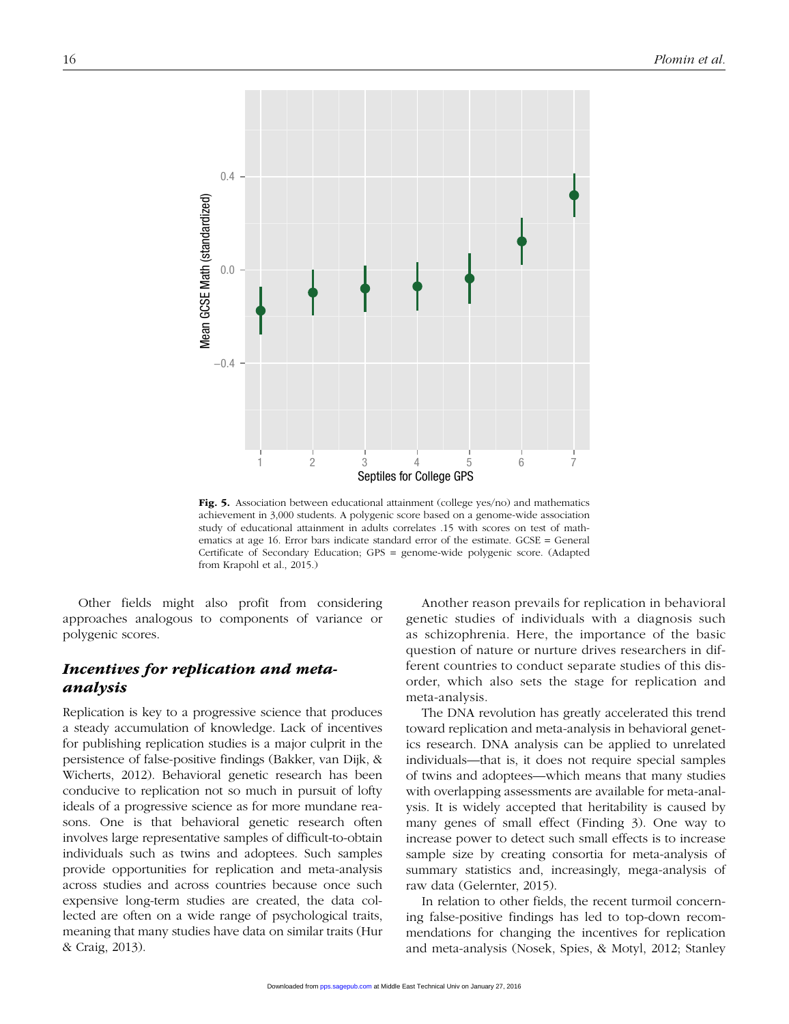

Fig. 5. Association between educational attainment (college yes/no) and mathematics achievement in 3,000 students. A polygenic score based on a genome-wide association study of educational attainment in adults correlates .15 with scores on test of mathematics at age 16. Error bars indicate standard error of the estimate. GCSE = General Certificate of Secondary Education; GPS = genome-wide polygenic score. (Adapted from Krapohl et al., 2015.)

Other fields might also profit from considering approaches analogous to components of variance or polygenic scores.

### *Incentives for replication and metaanalysis*

Replication is key to a progressive science that produces a steady accumulation of knowledge. Lack of incentives for publishing replication studies is a major culprit in the persistence of false-positive findings (Bakker, van Dijk, & Wicherts, 2012). Behavioral genetic research has been conducive to replication not so much in pursuit of lofty ideals of a progressive science as for more mundane reasons. One is that behavioral genetic research often involves large representative samples of difficult-to-obtain individuals such as twins and adoptees. Such samples provide opportunities for replication and meta-analysis across studies and across countries because once such expensive long-term studies are created, the data collected are often on a wide range of psychological traits, meaning that many studies have data on similar traits (Hur & Craig, 2013).

Another reason prevails for replication in behavioral genetic studies of individuals with a diagnosis such as schizophrenia. Here, the importance of the basic question of nature or nurture drives researchers in different countries to conduct separate studies of this disorder, which also sets the stage for replication and meta-analysis.

The DNA revolution has greatly accelerated this trend toward replication and meta-analysis in behavioral genetics research. DNA analysis can be applied to unrelated individuals—that is, it does not require special samples of twins and adoptees—which means that many studies with overlapping assessments are available for meta-analysis. It is widely accepted that heritability is caused by many genes of small effect (Finding 3). One way to increase power to detect such small effects is to increase sample size by creating consortia for meta-analysis of summary statistics and, increasingly, mega-analysis of raw data (Gelernter, 2015).

In relation to other fields, the recent turmoil concerning false-positive findings has led to top-down recommendations for changing the incentives for replication and meta-analysis (Nosek, Spies, & Motyl, 2012; Stanley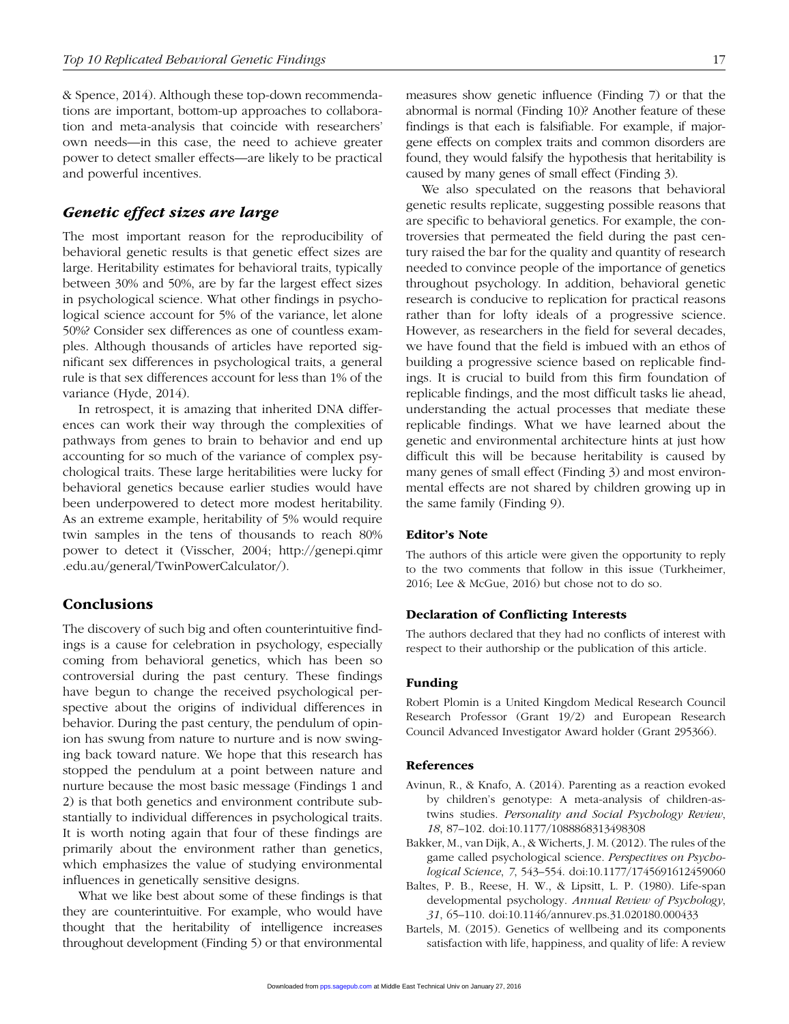& Spence, 2014). Although these top-down recommendations are important, bottom-up approaches to collaboration and meta-analysis that coincide with researchers' own needs—in this case, the need to achieve greater power to detect smaller effects—are likely to be practical and powerful incentives.

### *Genetic effect sizes are large*

The most important reason for the reproducibility of behavioral genetic results is that genetic effect sizes are large. Heritability estimates for behavioral traits, typically between 30% and 50%, are by far the largest effect sizes in psychological science. What other findings in psychological science account for 5% of the variance, let alone 50%? Consider sex differences as one of countless examples. Although thousands of articles have reported significant sex differences in psychological traits, a general rule is that sex differences account for less than 1% of the variance (Hyde, 2014).

In retrospect, it is amazing that inherited DNA differences can work their way through the complexities of pathways from genes to brain to behavior and end up accounting for so much of the variance of complex psychological traits. These large heritabilities were lucky for behavioral genetics because earlier studies would have been underpowered to detect more modest heritability. As an extreme example, heritability of 5% would require twin samples in the tens of thousands to reach 80% power to detect it (Visscher, 2004; [http://genepi.qimr](http://genepi.qimr.edu.au/general/TwinPowerCalculator/) [.edu.au/general/TwinPowerCalculator/](http://genepi.qimr.edu.au/general/TwinPowerCalculator/)).

### Conclusions

The discovery of such big and often counterintuitive findings is a cause for celebration in psychology, especially coming from behavioral genetics, which has been so controversial during the past century. These findings have begun to change the received psychological perspective about the origins of individual differences in behavior. During the past century, the pendulum of opinion has swung from nature to nurture and is now swinging back toward nature. We hope that this research has stopped the pendulum at a point between nature and nurture because the most basic message (Findings 1 and 2) is that both genetics and environment contribute substantially to individual differences in psychological traits. It is worth noting again that four of these findings are primarily about the environment rather than genetics, which emphasizes the value of studying environmental influences in genetically sensitive designs.

What we like best about some of these findings is that they are counterintuitive. For example, who would have thought that the heritability of intelligence increases throughout development (Finding 5) or that environmental measures show genetic influence (Finding 7) or that the abnormal is normal (Finding 10)? Another feature of these findings is that each is falsifiable. For example, if majorgene effects on complex traits and common disorders are found, they would falsify the hypothesis that heritability is caused by many genes of small effect (Finding 3).

We also speculated on the reasons that behavioral genetic results replicate, suggesting possible reasons that are specific to behavioral genetics. For example, the controversies that permeated the field during the past century raised the bar for the quality and quantity of research needed to convince people of the importance of genetics throughout psychology. In addition, behavioral genetic research is conducive to replication for practical reasons rather than for lofty ideals of a progressive science. However, as researchers in the field for several decades, we have found that the field is imbued with an ethos of building a progressive science based on replicable findings. It is crucial to build from this firm foundation of replicable findings, and the most difficult tasks lie ahead, understanding the actual processes that mediate these replicable findings. What we have learned about the genetic and environmental architecture hints at just how difficult this will be because heritability is caused by many genes of small effect (Finding 3) and most environmental effects are not shared by children growing up in the same family (Finding 9).

#### Editor's Note

The authors of this article were given the opportunity to reply to the two comments that follow in this issue (Turkheimer, 2016; Lee & McGue, 2016) but chose not to do so.

#### Declaration of Conflicting Interests

The authors declared that they had no conflicts of interest with respect to their authorship or the publication of this article.

### Funding

Robert Plomin is a United Kingdom Medical Research Council Research Professor (Grant 19/2) and European Research Council Advanced Investigator Award holder (Grant 295366).

#### References

- Avinun, R., & Knafo, A. (2014). Parenting as a reaction evoked by children's genotype: A meta-analysis of children-astwins studies. *Personality and Social Psychology Review*, *18*, 87–102. doi:10.1177/1088868313498308
- Bakker, M., van Dijk, A., & Wicherts, J. M. (2012). The rules of the game called psychological science. *Perspectives on Psychological Science*, *7*, 543–554. doi:10.1177/1745691612459060
- Baltes, P. B., Reese, H. W., & Lipsitt, L. P. (1980). Life-span developmental psychology. *Annual Review of Psychology*, *31*, 65–110. doi:10.1146/annurev.ps.31.020180.000433
- Bartels, M. (2015). Genetics of wellbeing and its components satisfaction with life, happiness, and quality of life: A review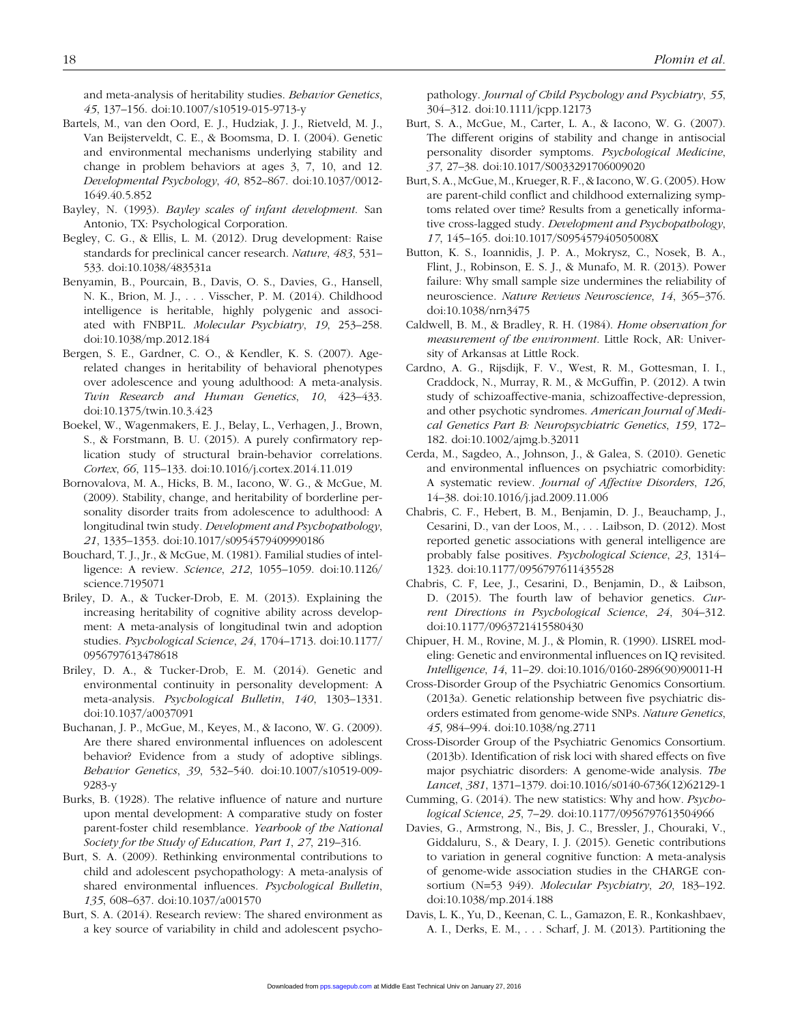and meta-analysis of heritability studies. *Behavior Genetics*, *45*, 137–156. doi:10.1007/s10519-015-9713-y

- Bartels, M., van den Oord, E. J., Hudziak, J. J., Rietveld, M. J., Van Beijsterveldt, C. E., & Boomsma, D. I. (2004). Genetic and environmental mechanisms underlying stability and change in problem behaviors at ages 3, 7, 10, and 12. *Developmental Psychology*, *40*, 852–867. doi:10.1037/0012- 1649.40.5.852
- Bayley, N. (1993). *Bayley scales of infant development*. San Antonio, TX: Psychological Corporation.
- Begley, C. G., & Ellis, L. M. (2012). Drug development: Raise standards for preclinical cancer research. *Nature*, *483*, 531– 533. doi:10.1038/483531a
- Benyamin, B., Pourcain, B., Davis, O. S., Davies, G., Hansell, N. K., Brion, M. J., . . . Visscher, P. M. (2014). Childhood intelligence is heritable, highly polygenic and associated with FNBP1L. *Molecular Psychiatry*, *19*, 253–258. doi:10.1038/mp.2012.184
- Bergen, S. E., Gardner, C. O., & Kendler, K. S. (2007). Agerelated changes in heritability of behavioral phenotypes over adolescence and young adulthood: A meta-analysis. *Twin Research and Human Genetics*, *10*, 423–433. doi:10.1375/twin.10.3.423
- Boekel, W., Wagenmakers, E. J., Belay, L., Verhagen, J., Brown, S., & Forstmann, B. U. (2015). A purely confirmatory replication study of structural brain-behavior correlations. *Cortex*, *66*, 115–133. doi:10.1016/j.cortex.2014.11.019
- Bornovalova, M. A., Hicks, B. M., Iacono, W. G., & McGue, M. (2009). Stability, change, and heritability of borderline personality disorder traits from adolescence to adulthood: A longitudinal twin study. *Development and Psychopathology*, *21*, 1335–1353. doi:10.1017/s0954579409990186
- Bouchard, T. J., Jr., & McGue, M. (1981). Familial studies of intelligence: A review. *Science*, *212*, 1055–1059. doi:10.1126/ science.7195071
- Briley, D. A., & Tucker-Drob, E. M. (2013). Explaining the increasing heritability of cognitive ability across development: A meta-analysis of longitudinal twin and adoption studies. *Psychological Science*, *24*, 1704–1713. doi:10.1177/ 0956797613478618
- Briley, D. A., & Tucker-Drob, E. M. (2014). Genetic and environmental continuity in personality development: A meta-analysis. *Psychological Bulletin*, *140*, 1303–1331. doi:10.1037/a0037091
- Buchanan, J. P., McGue, M., Keyes, M., & Iacono, W. G. (2009). Are there shared environmental influences on adolescent behavior? Evidence from a study of adoptive siblings. *Behavior Genetics*, *39*, 532–540. doi:10.1007/s10519-009- 9283-y
- Burks, B. (1928). The relative influence of nature and nurture upon mental development: A comparative study on foster parent-foster child resemblance. *Yearbook of the National Society for the Study of Education, Part 1*, *27*, 219–316.
- Burt, S. A. (2009). Rethinking environmental contributions to child and adolescent psychopathology: A meta-analysis of shared environmental influences. *Psychological Bulletin*, *135*, 608–637. doi:10.1037/a001570
- Burt, S. A. (2014). Research review: The shared environment as a key source of variability in child and adolescent psycho-

pathology. *Journal of Child Psychology and Psychiatry*, *55*, 304–312. doi:10.1111/jcpp.12173

- Burt, S. A., McGue, M., Carter, L. A., & Iacono, W. G. (2007). The different origins of stability and change in antisocial personality disorder symptoms. *Psychological Medicine*, *37*, 27–38. doi:10.1017/S0033291706009020
- Burt, S. A., McGue, M., Krueger, R. F., & Iacono, W. G. (2005). How are parent-child conflict and childhood externalizing symptoms related over time? Results from a genetically informative cross-lagged study. *Development and Psychopathology*, *17*, 145–165. doi:10.1017/S095457940505008X
- Button, K. S., Ioannidis, J. P. A., Mokrysz, C., Nosek, B. A., Flint, J., Robinson, E. S. J., & Munafo, M. R. (2013). Power failure: Why small sample size undermines the reliability of neuroscience. *Nature Reviews Neuroscience*, *14*, 365–376. doi:10.1038/nrn3475
- Caldwell, B. M., & Bradley, R. H. (1984). *Home observation for measurement of the environment*. Little Rock, AR: University of Arkansas at Little Rock.
- Cardno, A. G., Rijsdijk, F. V., West, R. M., Gottesman, I. I., Craddock, N., Murray, R. M., & McGuffin, P. (2012). A twin study of schizoaffective-mania, schizoaffective-depression, and other psychotic syndromes. *American Journal of Medical Genetics Part B: Neuropsychiatric Genetics*, *159*, 172– 182. doi:10.1002/ajmg.b.32011
- Cerda, M., Sagdeo, A., Johnson, J., & Galea, S. (2010). Genetic and environmental influences on psychiatric comorbidity: A systematic review. *Journal of Affective Disorders*, *126*, 14–38. doi:10.1016/j.jad.2009.11.006
- Chabris, C. F., Hebert, B. M., Benjamin, D. J., Beauchamp, J., Cesarini, D., van der Loos, M., . . . Laibson, D. (2012). Most reported genetic associations with general intelligence are probably false positives. *Psychological Science*, *23*, 1314– 1323. doi:10.1177/0956797611435528
- Chabris, C. F, Lee, J., Cesarini, D., Benjamin, D., & Laibson, D. (2015). The fourth law of behavior genetics. *Current Directions in Psychological Science*, *24*, 304–312. doi:10.1177/0963721415580430
- Chipuer, H. M., Rovine, M. J., & Plomin, R. (1990). LISREL modeling: Genetic and environmental influences on IQ revisited. *Intelligence*, *14*, 11–29. doi:10.1016/0160-2896(90)90011-H
- Cross-Disorder Group of the Psychiatric Genomics Consortium. (2013a). Genetic relationship between five psychiatric disorders estimated from genome-wide SNPs. *Nature Genetics*, *45*, 984–994. doi:10.1038/ng.2711
- Cross-Disorder Group of the Psychiatric Genomics Consortium. (2013b). Identification of risk loci with shared effects on five major psychiatric disorders: A genome-wide analysis. *The Lancet*, *381*, 1371–1379. doi:10.1016/s0140-6736(12)62129-1
- Cumming, G. (2014). The new statistics: Why and how. *Psychological Science*, *25*, 7–29. doi:10.1177/0956797613504966
- Davies, G., Armstrong, N., Bis, J. C., Bressler, J., Chouraki, V., Giddaluru, S., & Deary, I. J. (2015). Genetic contributions to variation in general cognitive function: A meta-analysis of genome-wide association studies in the CHARGE consortium (N=53 949). *Molecular Psychiatry*, *20*, 183–192. doi:10.1038/mp.2014.188
- Davis, L. K., Yu, D., Keenan, C. L., Gamazon, E. R., Konkashbaev, A. I., Derks, E. M., . . . Scharf, J. M. (2013). Partitioning the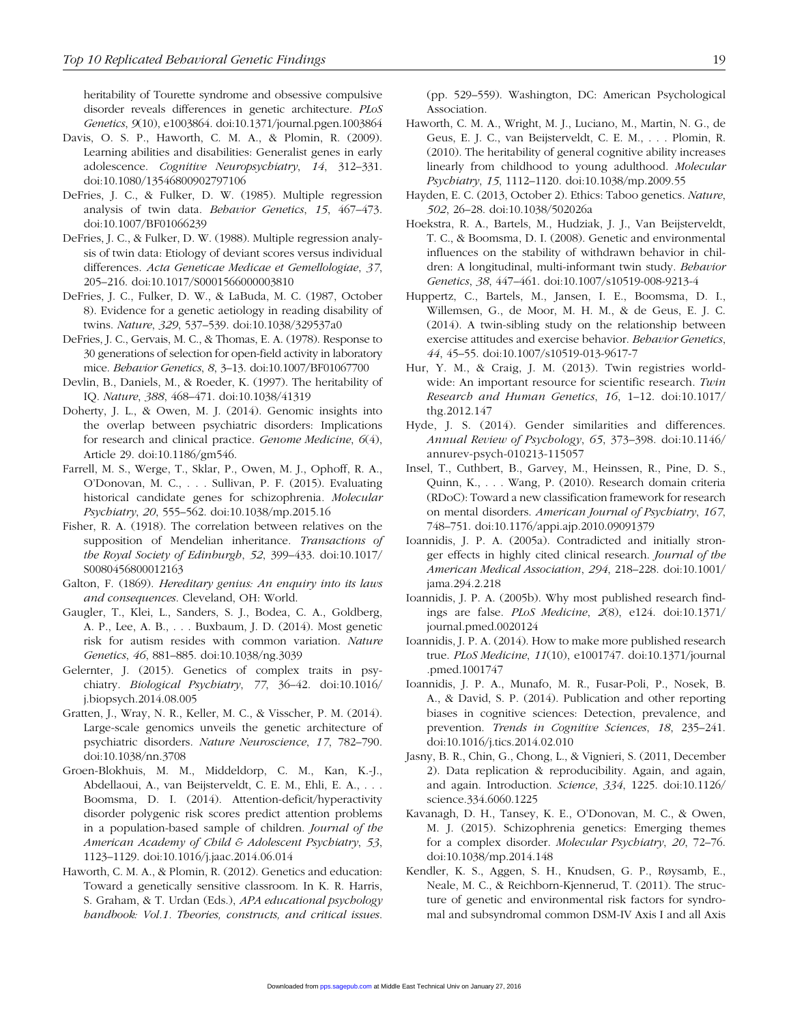heritability of Tourette syndrome and obsessive compulsive disorder reveals differences in genetic architecture. *PLoS Genetics*, *9*(10), e1003864. doi:10.1371/journal.pgen.1003864

- Davis, O. S. P., Haworth, C. M. A., & Plomin, R. (2009). Learning abilities and disabilities: Generalist genes in early adolescence. *Cognitive Neuropsychiatry*, *14*, 312–331. doi:10.1080/13546800902797106
- DeFries, J. C., & Fulker, D. W. (1985). Multiple regression analysis of twin data. *Behavior Genetics*, *15*, 467–473. doi:10.1007/BF01066239
- DeFries, J. C., & Fulker, D. W. (1988). Multiple regression analysis of twin data: Etiology of deviant scores versus individual differences. *Acta Geneticae Medicae et Gemellologiae*, *37*, 205–216. doi:10.1017/S0001566000003810
- DeFries, J. C., Fulker, D. W., & LaBuda, M. C. (1987, October 8). Evidence for a genetic aetiology in reading disability of twins. *Nature*, *329*, 537–539. doi:10.1038/329537a0
- DeFries, J. C., Gervais, M. C., & Thomas, E. A. (1978). Response to 30 generations of selection for open-field activity in laboratory mice. *Behavior Genetics*, *8*, 3–13. doi:10.1007/BF01067700
- Devlin, B., Daniels, M., & Roeder, K. (1997). The heritability of IQ. *Nature*, *388*, 468–471. doi:10.1038/41319
- Doherty, J. L., & Owen, M. J. (2014). Genomic insights into the overlap between psychiatric disorders: Implications for research and clinical practice. *Genome Medicine*, *6*(4), Article 29. doi:10.1186/gm546.
- Farrell, M. S., Werge, T., Sklar, P., Owen, M. J., Ophoff, R. A., O'Donovan, M. C., . . . Sullivan, P. F. (2015). Evaluating historical candidate genes for schizophrenia. *Molecular Psychiatry*, *20*, 555–562. doi:10.1038/mp.2015.16
- Fisher, R. A. (1918). The correlation between relatives on the supposition of Mendelian inheritance. *Transactions of the Royal Society of Edinburgh*, *52*, 399–433. doi:10.1017/ S0080456800012163
- Galton, F. (1869). *Hereditary genius: An enquiry into its laws and consequences*. Cleveland, OH: World.
- Gaugler, T., Klei, L., Sanders, S. J., Bodea, C. A., Goldberg, A. P., Lee, A. B., . . . Buxbaum, J. D. (2014). Most genetic risk for autism resides with common variation. *Nature Genetics*, *46*, 881–885. doi:10.1038/ng.3039
- Gelernter, J. (2015). Genetics of complex traits in psychiatry. *Biological Psychiatry*, *77*, 36–42. doi:10.1016/ j.biopsych.2014.08.005
- Gratten, J., Wray, N. R., Keller, M. C., & Visscher, P. M. (2014). Large-scale genomics unveils the genetic architecture of psychiatric disorders. *Nature Neuroscience*, *17*, 782–790. doi:10.1038/nn.3708
- Groen-Blokhuis, M. M., Middeldorp, C. M., Kan, K.-J., Abdellaoui, A., van Beijsterveldt, C. E. M., Ehli, E. A., . . . Boomsma, D. I. (2014). Attention-deficit/hyperactivity disorder polygenic risk scores predict attention problems in a population-based sample of children. *Journal of the American Academy of Child & Adolescent Psychiatry*, *53*, 1123–1129. doi:10.1016/j.jaac.2014.06.014
- Haworth, C. M. A., & Plomin, R. (2012). Genetics and education: Toward a genetically sensitive classroom. In K. R. Harris, S. Graham, & T. Urdan (Eds.), *APA educational psychology handbook: Vol.1. Theories, constructs, and critical issues*.

(pp. 529–559). Washington, DC: American Psychological Association.

- Haworth, C. M. A., Wright, M. J., Luciano, M., Martin, N. G., de Geus, E. J. C., van Beijsterveldt, C. E. M., . . . Plomin, R. (2010). The heritability of general cognitive ability increases linearly from childhood to young adulthood. *Molecular Psychiatry*, *15*, 1112–1120. doi:10.1038/mp.2009.55
- Hayden, E. C. (2013, October 2). Ethics: Taboo genetics. *Nature*, *502*, 26–28. doi:10.1038/502026a
- Hoekstra, R. A., Bartels, M., Hudziak, J. J., Van Beijsterveldt, T. C., & Boomsma, D. I. (2008). Genetic and environmental influences on the stability of withdrawn behavior in children: A longitudinal, multi-informant twin study. *Behavior Genetics*, *38*, 447–461. doi:10.1007/s10519-008-9213-4
- Huppertz, C., Bartels, M., Jansen, I. E., Boomsma, D. I., Willemsen, G., de Moor, M. H. M., & de Geus, E. J. C. (2014). A twin-sibling study on the relationship between exercise attitudes and exercise behavior. *Behavior Genetics*, *44*, 45–55. doi:10.1007/s10519-013-9617-7
- Hur, Y. M., & Craig, J. M. (2013). Twin registries worldwide: An important resource for scientific research. *Twin Research and Human Genetics*, *16*, 1–12. doi:10.1017/ thg.2012.147
- Hyde, J. S. (2014). Gender similarities and differences. *Annual Review of Psychology*, *65*, 373–398. doi:10.1146/ annurev-psych-010213-115057
- Insel, T., Cuthbert, B., Garvey, M., Heinssen, R., Pine, D. S., Quinn, K., . . . Wang, P. (2010). Research domain criteria (RDoC): Toward a new classification framework for research on mental disorders. *American Journal of Psychiatry*, *167*, 748–751. doi:10.1176/appi.ajp.2010.09091379
- Ioannidis, J. P. A. (2005a). Contradicted and initially stronger effects in highly cited clinical research. *Journal of the American Medical Association*, *294*, 218–228. doi:10.1001/ jama.294.2.218
- Ioannidis, J. P. A. (2005b). Why most published research findings are false. *PLoS Medicine*, *2*(8), e124. doi:10.1371/ journal.pmed.0020124
- Ioannidis, J. P. A. (2014). How to make more published research true. *PLoS Medicine*, *11*(10), e1001747. doi:10.1371/journal .pmed.1001747
- Ioannidis, J. P. A., Munafo, M. R., Fusar-Poli, P., Nosek, B. A., & David, S. P. (2014). Publication and other reporting biases in cognitive sciences: Detection, prevalence, and prevention. *Trends in Cognitive Sciences*, *18*, 235–241. doi:10.1016/j.tics.2014.02.010
- Jasny, B. R., Chin, G., Chong, L., & Vignieri, S. (2011, December 2). Data replication & reproducibility. Again, and again, and again. Introduction. *Science*, *334*, 1225. doi:10.1126/ science.334.6060.1225
- Kavanagh, D. H., Tansey, K. E., O'Donovan, M. C., & Owen, M. J. (2015). Schizophrenia genetics: Emerging themes for a complex disorder. *Molecular Psychiatry*, *20*, 72–76. doi:10.1038/mp.2014.148
- Kendler, K. S., Aggen, S. H., Knudsen, G. P., Røysamb, E., Neale, M. C., & Reichborn-Kjennerud, T. (2011). The structure of genetic and environmental risk factors for syndromal and subsyndromal common DSM-IV Axis I and all Axis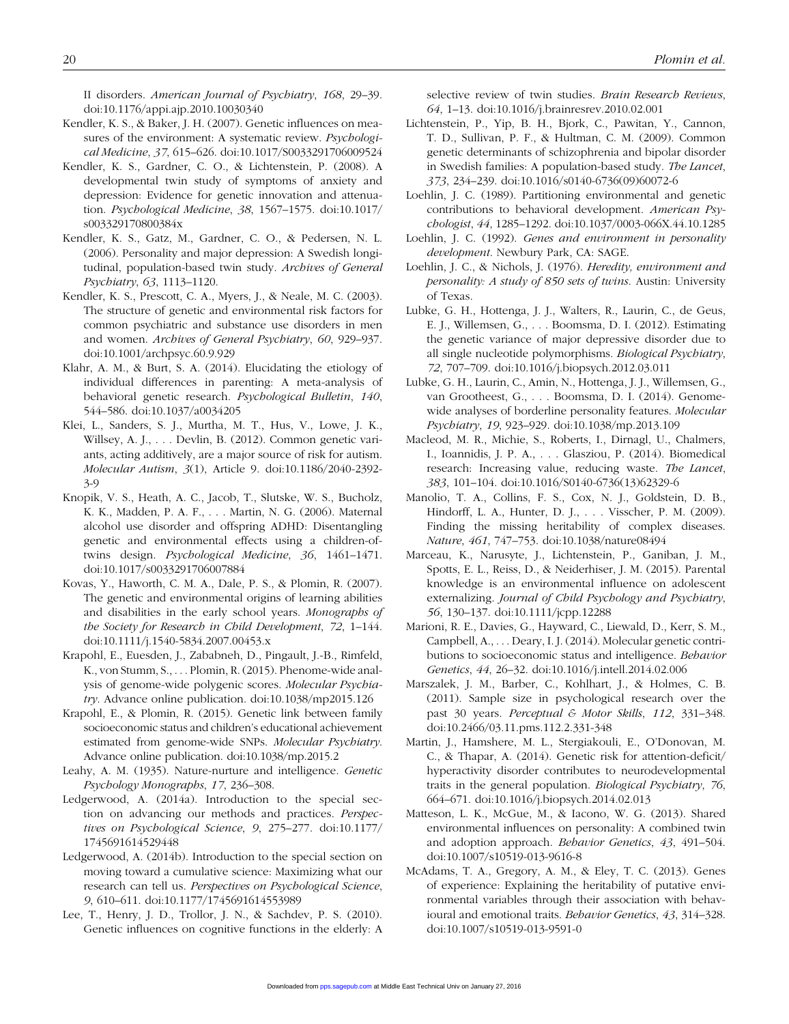II disorders. *American Journal of Psychiatry*, *168*, 29–39. doi:10.1176/appi.ajp.2010.10030340

- Kendler, K. S., & Baker, J. H. (2007). Genetic influences on measures of the environment: A systematic review. *Psychological Medicine*, *37*, 615–626. doi:10.1017/S0033291706009524
- Kendler, K. S., Gardner, C. O., & Lichtenstein, P. (2008). A developmental twin study of symptoms of anxiety and depression: Evidence for genetic innovation and attenuation. *Psychological Medicine*, *38*, 1567–1575. doi:10.1017/ s003329170800384x
- Kendler, K. S., Gatz, M., Gardner, C. O., & Pedersen, N. L. (2006). Personality and major depression: A Swedish longitudinal, population-based twin study. *Archives of General Psychiatry*, *63*, 1113–1120.
- Kendler, K. S., Prescott, C. A., Myers, J., & Neale, M. C. (2003). The structure of genetic and environmental risk factors for common psychiatric and substance use disorders in men and women. *Archives of General Psychiatry*, *60*, 929–937. doi:10.1001/archpsyc.60.9.929
- Klahr, A. M., & Burt, S. A. (2014). Elucidating the etiology of individual differences in parenting: A meta-analysis of behavioral genetic research. *Psychological Bulletin*, *140*, 544–586. doi:10.1037/a0034205
- Klei, L., Sanders, S. J., Murtha, M. T., Hus, V., Lowe, J. K., Willsey, A. J., . . . Devlin, B. (2012). Common genetic variants, acting additively, are a major source of risk for autism. *Molecular Autism*, *3*(1), Article 9. doi:10.1186/2040-2392- 3-9
- Knopik, V. S., Heath, A. C., Jacob, T., Slutske, W. S., Bucholz, K. K., Madden, P. A. F., . . . Martin, N. G. (2006). Maternal alcohol use disorder and offspring ADHD: Disentangling genetic and environmental effects using a children-oftwins design. *Psychological Medicine*, *36*, 1461–1471. doi:10.1017/s0033291706007884
- Kovas, Y., Haworth, C. M. A., Dale, P. S., & Plomin, R. (2007). The genetic and environmental origins of learning abilities and disabilities in the early school years. *Monographs of the Society for Research in Child Development*, *72*, 1–144. doi:10.1111/j.1540-5834.2007.00453.x
- Krapohl, E., Euesden, J., Zababneh, D., Pingault, J.-B., Rimfeld, K., von Stumm, S., . . . Plomin, R. (2015). Phenome-wide analysis of genome-wide polygenic scores. *Molecular Psychiatry*. Advance online publication. doi:10.1038/mp2015.126
- Krapohl, E., & Plomin, R. (2015). Genetic link between family socioeconomic status and children's educational achievement estimated from genome-wide SNPs. *Molecular Psychiatry*. Advance online publication. doi:10.1038/mp.2015.2
- Leahy, A. M. (1935). Nature-nurture and intelligence. *Genetic Psychology Monographs*, *17*, 236–308.
- Ledgerwood, A. (2014a). Introduction to the special section on advancing our methods and practices. *Perspectives on Psychological Science*, *9*, 275–277. doi:10.1177/ 1745691614529448
- Ledgerwood, A. (2014b). Introduction to the special section on moving toward a cumulative science: Maximizing what our research can tell us. *Perspectives on Psychological Science*, *9*, 610–611. doi:10.1177/1745691614553989
- Lee, T., Henry, J. D., Trollor, J. N., & Sachdev, P. S. (2010). Genetic influences on cognitive functions in the elderly: A

selective review of twin studies. *Brain Research Reviews*, *64*, 1–13. doi:10.1016/j.brainresrev.2010.02.001

- Lichtenstein, P., Yip, B. H., Bjork, C., Pawitan, Y., Cannon, T. D., Sullivan, P. F., & Hultman, C. M. (2009). Common genetic determinants of schizophrenia and bipolar disorder in Swedish families: A population-based study. *The Lancet*, *373*, 234–239. doi:10.1016/s0140-6736(09)60072-6
- Loehlin, J. C. (1989). Partitioning environmental and genetic contributions to behavioral development. *American Psychologist*, *44*, 1285–1292. doi:10.1037/0003-066X.44.10.1285
- Loehlin, J. C. (1992). *Genes and environment in personality development*. Newbury Park, CA: SAGE.
- Loehlin, J. C., & Nichols, J. (1976). *Heredity, environment and personality: A study of 850 sets of twins*. Austin: University of Texas.
- Lubke, G. H., Hottenga, J. J., Walters, R., Laurin, C., de Geus, E. J., Willemsen, G., . . . Boomsma, D. I. (2012). Estimating the genetic variance of major depressive disorder due to all single nucleotide polymorphisms. *Biological Psychiatry*, *72*, 707–709. doi:10.1016/j.biopsych.2012.03.011
- Lubke, G. H., Laurin, C., Amin, N., Hottenga, J. J., Willemsen, G., van Grootheest, G., . . . Boomsma, D. I. (2014). Genomewide analyses of borderline personality features. *Molecular Psychiatry*, *19*, 923–929. doi:10.1038/mp.2013.109
- Macleod, M. R., Michie, S., Roberts, I., Dirnagl, U., Chalmers, I., Ioannidis, J. P. A., . . . Glasziou, P. (2014). Biomedical research: Increasing value, reducing waste. *The Lancet*, *383*, 101–104. doi:10.1016/S0140-6736(13)62329-6
- Manolio, T. A., Collins, F. S., Cox, N. J., Goldstein, D. B., Hindorff, L. A., Hunter, D. J., . . . Visscher, P. M. (2009). Finding the missing heritability of complex diseases. *Nature*, *461*, 747–753. doi:10.1038/nature08494
- Marceau, K., Narusyte, J., Lichtenstein, P., Ganiban, J. M., Spotts, E. L., Reiss, D., & Neiderhiser, J. M. (2015). Parental knowledge is an environmental influence on adolescent externalizing. *Journal of Child Psychology and Psychiatry*, *56*, 130–137. doi:10.1111/jcpp.12288
- Marioni, R. E., Davies, G., Hayward, C., Liewald, D., Kerr, S. M., Campbell, A., . . . Deary, I. J. (2014). Molecular genetic contributions to socioeconomic status and intelligence. *Behavior Genetics*, *44*, 26–32. doi:10.1016/j.intell.2014.02.006
- Marszalek, J. M., Barber, C., Kohlhart, J., & Holmes, C. B. (2011). Sample size in psychological research over the past 30 years. *Perceptual & Motor Skills*, *112*, 331–348. doi:10.2466/03.11.pms.112.2.331-348
- Martin, J., Hamshere, M. L., Stergiakouli, E., O'Donovan, M. C., & Thapar, A. (2014). Genetic risk for attention-deficit/ hyperactivity disorder contributes to neurodevelopmental traits in the general population. *Biological Psychiatry*, *76*, 664–671. doi:10.1016/j.biopsych.2014.02.013
- Matteson, L. K., McGue, M., & Iacono, W. G. (2013). Shared environmental influences on personality: A combined twin and adoption approach. *Behavior Genetics*, *43*, 491–504. doi:10.1007/s10519-013-9616-8
- McAdams, T. A., Gregory, A. M., & Eley, T. C. (2013). Genes of experience: Explaining the heritability of putative environmental variables through their association with behavioural and emotional traits. *Behavior Genetics*, *43*, 314–328. doi:10.1007/s10519-013-9591-0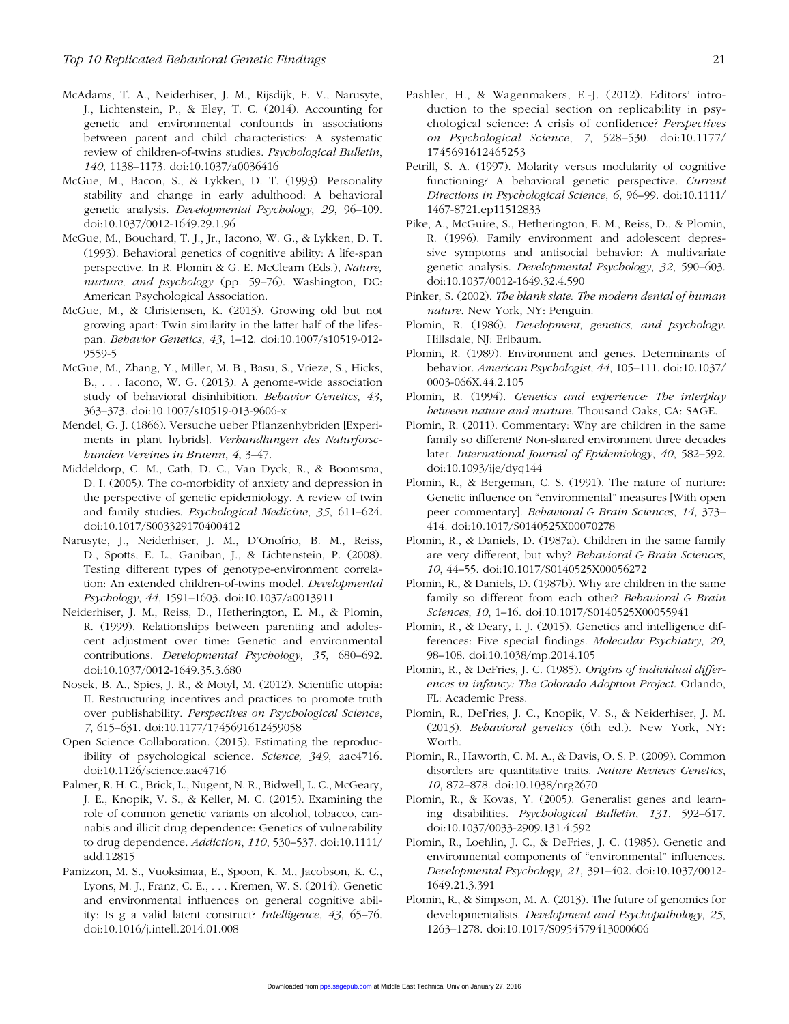- McAdams, T. A., Neiderhiser, J. M., Rijsdijk, F. V., Narusyte, J., Lichtenstein, P., & Eley, T. C. (2014). Accounting for genetic and environmental confounds in associations between parent and child characteristics: A systematic review of children-of-twins studies. *Psychological Bulletin*, *140*, 1138–1173. doi:10.1037/a0036416
- McGue, M., Bacon, S., & Lykken, D. T. (1993). Personality stability and change in early adulthood: A behavioral genetic analysis. *Developmental Psychology*, *29*, 96–109. doi:10.1037/0012-1649.29.1.96
- McGue, M., Bouchard, T. J., Jr., Iacono, W. G., & Lykken, D. T. (1993). Behavioral genetics of cognitive ability: A life-span perspective. In R. Plomin & G. E. McClearn (Eds.), *Nature, nurture, and psychology* (pp. 59–76). Washington, DC: American Psychological Association.
- McGue, M., & Christensen, K. (2013). Growing old but not growing apart: Twin similarity in the latter half of the lifespan. *Behavior Genetics*, *43*, 1–12. doi:10.1007/s10519-012- 9559-5
- McGue, M., Zhang, Y., Miller, M. B., Basu, S., Vrieze, S., Hicks, B., . . . Iacono, W. G. (2013). A genome-wide association study of behavioral disinhibition. *Behavior Genetics*, *43*, 363–373. doi:10.1007/s10519-013-9606-x
- Mendel, G. J. (1866). Versuche ueber Pflanzenhybriden [Experiments in plant hybrids]. *Verhandlungen des Naturforschunden Vereines in Bruenn*, *4*, 3–47.
- Middeldorp, C. M., Cath, D. C., Van Dyck, R., & Boomsma, D. I. (2005). The co-morbidity of anxiety and depression in the perspective of genetic epidemiology. A review of twin and family studies. *Psychological Medicine*, *35*, 611–624. doi:10.1017/S003329170400412
- Narusyte, J., Neiderhiser, J. M., D'Onofrio, B. M., Reiss, D., Spotts, E. L., Ganiban, J., & Lichtenstein, P. (2008). Testing different types of genotype-environment correlation: An extended children-of-twins model. *Developmental Psychology*, *44*, 1591–1603. doi:10.1037/a0013911
- Neiderhiser, J. M., Reiss, D., Hetherington, E. M., & Plomin, R. (1999). Relationships between parenting and adolescent adjustment over time: Genetic and environmental contributions. *Developmental Psychology*, *35*, 680–692. doi:10.1037/0012-1649.35.3.680
- Nosek, B. A., Spies, J. R., & Motyl, M. (2012). Scientific utopia: II. Restructuring incentives and practices to promote truth over publishability. *Perspectives on Psychological Science*, *7*, 615–631. doi:10.1177/1745691612459058
- Open Science Collaboration. (2015). Estimating the reproducibility of psychological science. *Science, 349*, aac4716. doi:10.1126/science.aac4716
- Palmer, R. H. C., Brick, L., Nugent, N. R., Bidwell, L. C., McGeary, J. E., Knopik, V. S., & Keller, M. C. (2015). Examining the role of common genetic variants on alcohol, tobacco, cannabis and illicit drug dependence: Genetics of vulnerability to drug dependence. *Addiction*, *110*, 530–537. doi:10.1111/ add.12815
- Panizzon, M. S., Vuoksimaa, E., Spoon, K. M., Jacobson, K. C., Lyons, M. J., Franz, C. E., . . . Kremen, W. S. (2014). Genetic and environmental influences on general cognitive ability: Is g a valid latent construct? *Intelligence*, *43*, 65–76. doi:10.1016/j.intell.2014.01.008
- Pashler, H., & Wagenmakers, E.-J. (2012). Editors' introduction to the special section on replicability in psychological science: A crisis of confidence? *Perspectives on Psychological Science*, *7*, 528–530. doi:10.1177/ 1745691612465253
- Petrill, S. A. (1997). Molarity versus modularity of cognitive functioning? A behavioral genetic perspective. *Current Directions in Psychological Science*, *6*, 96–99. doi:10.1111/ 1467-8721.ep11512833
- Pike, A., McGuire, S., Hetherington, E. M., Reiss, D., & Plomin, R. (1996). Family environment and adolescent depressive symptoms and antisocial behavior: A multivariate genetic analysis. *Developmental Psychology*, *32*, 590–603. doi:10.1037/0012-1649.32.4.590
- Pinker, S. (2002). *The blank slate: The modern denial of human nature*. New York, NY: Penguin.
- Plomin, R. (1986). *Development, genetics, and psychology*. Hillsdale, NJ: Erlbaum.
- Plomin, R. (1989). Environment and genes. Determinants of behavior. *American Psychologist*, *44*, 105–111. doi:10.1037/ 0003-066X.44.2.105
- Plomin, R. (1994). *Genetics and experience: The interplay between nature and nurture*. Thousand Oaks, CA: SAGE.
- Plomin, R. (2011). Commentary: Why are children in the same family so different? Non-shared environment three decades later. *International Journal of Epidemiology*, *40*, 582–592. doi:10.1093/ije/dyq144
- Plomin, R., & Bergeman, C. S. (1991). The nature of nurture: Genetic influence on "environmental" measures [With open peer commentary]. *Behavioral & Brain Sciences*, *14*, 373– 414. doi:10.1017/S0140525X00070278
- Plomin, R., & Daniels, D. (1987a). Children in the same family are very different, but why? *Behavioral & Brain Sciences*, *10*, 44–55. doi:10.1017/S0140525X00056272
- Plomin, R., & Daniels, D. (1987b). Why are children in the same family so different from each other? *Behavioral & Brain Sciences*, *10*, 1–16. doi:10.1017/S0140525X00055941
- Plomin, R., & Deary, I. J. (2015). Genetics and intelligence differences: Five special findings. *Molecular Psychiatry*, *20*, 98–108. doi:10.1038/mp.2014.105
- Plomin, R., & DeFries, J. C. (1985). *Origins of individual differences in infancy: The Colorado Adoption Project*. Orlando, FL: Academic Press.
- Plomin, R., DeFries, J. C., Knopik, V. S., & Neiderhiser, J. M. (2013). *Behavioral genetics* (6th ed.). New York, NY: Worth.
- Plomin, R., Haworth, C. M. A., & Davis, O. S. P. (2009). Common disorders are quantitative traits. *Nature Reviews Genetics*, *10*, 872–878. doi:10.1038/nrg2670
- Plomin, R., & Kovas, Y. (2005). Generalist genes and learning disabilities. *Psychological Bulletin*, *131*, 592–617. doi:10.1037/0033-2909.131.4.592
- Plomin, R., Loehlin, J. C., & DeFries, J. C. (1985). Genetic and environmental components of "environmental" influences. *Developmental Psychology*, *21*, 391–402. doi:10.1037/0012- 1649.21.3.391
- Plomin, R., & Simpson, M. A. (2013). The future of genomics for developmentalists. *Development and Psychopathology*, *25*, 1263–1278. doi:10.1017/S0954579413000606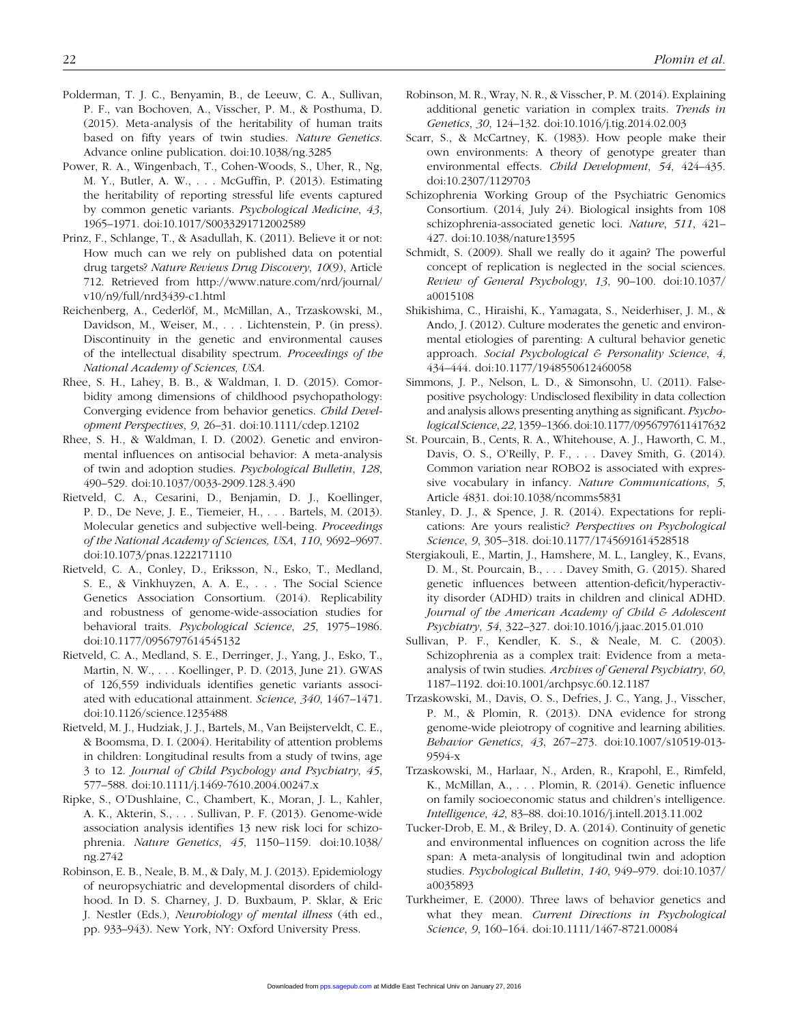- Polderman, T. J. C., Benyamin, B., de Leeuw, C. A., Sullivan, P. F., van Bochoven, A., Visscher, P. M., & Posthuma, D. (2015). Meta-analysis of the heritability of human traits based on fifty years of twin studies. *Nature Genetics*. Advance online publication. doi:10.1038/ng.3285
- Power, R. A., Wingenbach, T., Cohen-Woods, S., Uher, R., Ng, M. Y., Butler, A. W., . . . McGuffin, P. (2013). Estimating the heritability of reporting stressful life events captured by common genetic variants. *Psychological Medicine*, *43*, 1965–1971. doi:10.1017/S0033291712002589
- Prinz, F., Schlange, T., & Asadullah, K. (2011). Believe it or not: How much can we rely on published data on potential drug targets? *Nature Reviews Drug Discovery*, *10*(9), Article [712. Retrieved from http://www.nature.com/nrd/journal/](http://www.nature.com/nrd/journal/v10/n9/full/nrd3439-c1.html) v10/n9/full/nrd3439-c1.html
- Reichenberg, A., Cederlöf, M., McMillan, A., Trzaskowski, M., Davidson, M., Weiser, M., . . . Lichtenstein, P. (in press). Discontinuity in the genetic and environmental causes of the intellectual disability spectrum. *Proceedings of the National Academy of Sciences, USA*.
- Rhee, S. H., Lahey, B. B., & Waldman, I. D. (2015). Comorbidity among dimensions of childhood psychopathology: Converging evidence from behavior genetics. *Child Development Perspectives*, *9*, 26–31. doi:10.1111/cdep.12102
- Rhee, S. H., & Waldman, I. D. (2002). Genetic and environmental influences on antisocial behavior: A meta-analysis of twin and adoption studies. *Psychological Bulletin*, *128*, 490–529. doi:10.1037/0033-2909.128.3.490
- Rietveld, C. A., Cesarini, D., Benjamin, D. J., Koellinger, P. D., De Neve, J. E., Tiemeier, H., . . . Bartels, M. (2013). Molecular genetics and subjective well-being. *Proceedings of the National Academy of Sciences, USA*, *110*, 9692–9697. doi:10.1073/pnas.1222171110
- Rietveld, C. A., Conley, D., Eriksson, N., Esko, T., Medland, S. E., & Vinkhuyzen, A. A. E., . . . The Social Science Genetics Association Consortium. (2014). Replicability and robustness of genome-wide-association studies for behavioral traits. *Psychological Science*, *25*, 1975–1986. doi:10.1177/0956797614545132
- Rietveld, C. A., Medland, S. E., Derringer, J., Yang, J., Esko, T., Martin, N. W., . . . Koellinger, P. D. (2013, June 21). GWAS of 126,559 individuals identifies genetic variants associated with educational attainment. *Science*, *340*, 1467–1471. doi:10.1126/science.1235488
- Rietveld, M. J., Hudziak, J. J., Bartels, M., Van Beijsterveldt, C. E., & Boomsma, D. I. (2004). Heritability of attention problems in children: Longitudinal results from a study of twins, age 3 to 12. *Journal of Child Psychology and Psychiatry*, *45*, 577–588. doi:10.1111/j.1469-7610.2004.00247.x
- Ripke, S., O'Dushlaine, C., Chambert, K., Moran, J. L., Kahler, A. K., Akterin, S., . . . Sullivan, P. F. (2013). Genome-wide association analysis identifies 13 new risk loci for schizophrenia. *Nature Genetics*, *45*, 1150–1159. doi:10.1038/ ng.2742
- Robinson, E. B., Neale, B. M., & Daly, M. J. (2013). Epidemiology of neuropsychiatric and developmental disorders of childhood. In D. S. Charney, J. D. Buxbaum, P. Sklar, & Eric J. Nestler (Eds.), *Neurobiology of mental illness* (4th ed., pp. 933–943). New York, NY: Oxford University Press.
- Robinson, M. R., Wray, N. R., & Visscher, P. M. (2014). Explaining additional genetic variation in complex traits. *Trends in Genetics*, *30*, 124–132. doi:10.1016/j.tig.2014.02.003
- Scarr, S., & McCartney, K. (1983). How people make their own environments: A theory of genotype greater than environmental effects. *Child Development*, *54*, 424–435. doi:10.2307/1129703
- Schizophrenia Working Group of the Psychiatric Genomics Consortium. (2014, July 24). Biological insights from 108 schizophrenia-associated genetic loci. *Nature*, *511*, 421– 427. doi:10.1038/nature13595
- Schmidt, S. (2009). Shall we really do it again? The powerful concept of replication is neglected in the social sciences. *Review of General Psychology*, *13*, 90–100. doi:10.1037/ a0015108
- Shikishima, C., Hiraishi, K., Yamagata, S., Neiderhiser, J. M., & Ando, J. (2012). Culture moderates the genetic and environmental etiologies of parenting: A cultural behavior genetic approach. *Social Psychological & Personality Science*, *4*, 434–444. doi:10.1177/1948550612460058
- Simmons, J. P., Nelson, L. D., & Simonsohn, U. (2011). Falsepositive psychology: Undisclosed flexibility in data collection and analysis allows presenting anything as significant. *Psychological Science*, *22*, 1359–1366. doi:10.1177/0956797611417632
- St. Pourcain, B., Cents, R. A., Whitehouse, A. J., Haworth, C. M., Davis, O. S., O'Reilly, P. F., . . . Davey Smith, G. (2014). Common variation near ROBO2 is associated with expressive vocabulary in infancy. *Nature Communications*, *5*, Article 4831. doi:10.1038/ncomms5831
- Stanley, D. J., & Spence, J. R. (2014). Expectations for replications: Are yours realistic? *Perspectives on Psychological Science*, *9*, 305–318. doi:10.1177/1745691614528518
- Stergiakouli, E., Martin, J., Hamshere, M. L., Langley, K., Evans, D. M., St. Pourcain, B., . . . Davey Smith, G. (2015). Shared genetic influences between attention-deficit/hyperactivity disorder (ADHD) traits in children and clinical ADHD. *Journal of the American Academy of Child & Adolescent Psychiatry*, *54*, 322–327. doi:10.1016/j.jaac.2015.01.010
- Sullivan, P. F., Kendler, K. S., & Neale, M. C. (2003). Schizophrenia as a complex trait: Evidence from a metaanalysis of twin studies. *Archives of General Psychiatry*, *60*, 1187–1192. doi:10.1001/archpsyc.60.12.1187
- Trzaskowski, M., Davis, O. S., Defries, J. C., Yang, J., Visscher, P. M., & Plomin, R. (2013). DNA evidence for strong genome-wide pleiotropy of cognitive and learning abilities. *Behavior Genetics*, *43*, 267–273. doi:10.1007/s10519-013- 9594-x
- Trzaskowski, M., Harlaar, N., Arden, R., Krapohl, E., Rimfeld, K., McMillan, A., . . . Plomin, R. (2014). Genetic influence on family socioeconomic status and children's intelligence. *Intelligence*, *42*, 83–88. doi:10.1016/j.intell.2013.11.002
- Tucker-Drob, E. M., & Briley, D. A. (2014). Continuity of genetic and environmental influences on cognition across the life span: A meta-analysis of longitudinal twin and adoption studies. *Psychological Bulletin*, *140*, 949–979. doi:10.1037/ a0035893
- Turkheimer, E. (2000). Three laws of behavior genetics and what they mean. *Current Directions in Psychological Science*, *9*, 160–164. doi:10.1111/1467-8721.00084